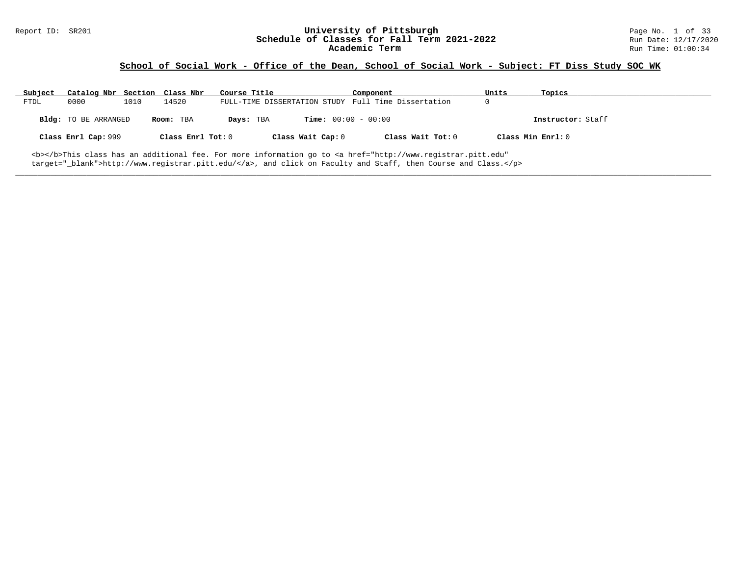### **School of Social Work - Office of the Dean, School of Social Work - Subject: FT Diss Study SOC WK**

| Subject | Catalog Nbr Section Class Nbr                                                                                                |      |                   | Course Title |                              | Component                                           | Units             | Topics            |
|---------|------------------------------------------------------------------------------------------------------------------------------|------|-------------------|--------------|------------------------------|-----------------------------------------------------|-------------------|-------------------|
| FTDL    | 0000                                                                                                                         | 1010 | 14520             |              |                              | FULL-TIME DISSERTATION STUDY Full Time Dissertation |                   |                   |
|         | <b>Bldg:</b> TO BE ARRANGED                                                                                                  |      | Room: TBA         | Days: TBA    | <b>Time:</b> $00:00 - 00:00$ |                                                     |                   | Instructor: Staff |
|         | Class Enrl Cap: 999                                                                                                          |      | Class Enrl Tot: 0 |              | Class Wait Cap: 0            | Class Wait Tot: $0$                                 | Class Min Enrl: 0 |                   |
|         | <b></b> This class has an additional fee. For more information go to <a <="" href="http://www.registrar.pitt.edu" td=""></a> |      |                   |              |                              |                                                     |                   |                   |

**\_\_\_\_\_\_\_\_\_\_\_\_\_\_\_\_\_\_\_\_\_\_\_\_\_\_\_\_\_\_\_\_\_\_\_\_\_\_\_\_\_\_\_\_\_\_\_\_\_\_\_\_\_\_\_\_\_\_\_\_\_\_\_\_\_\_\_\_\_\_\_\_\_\_\_\_\_\_\_\_\_\_\_\_\_\_\_\_\_\_\_\_\_\_\_\_\_\_\_\_\_\_\_\_\_\_\_\_\_\_\_\_\_\_\_\_\_\_\_\_\_\_\_\_\_\_\_\_\_\_\_\_\_\_\_\_\_\_\_\_\_\_\_\_\_\_\_\_\_\_\_\_\_\_\_\_**

target="\_blank">http://www.registrar.pitt.edu/</a>, and click on Faculty and Staff, then Course and Class.</p>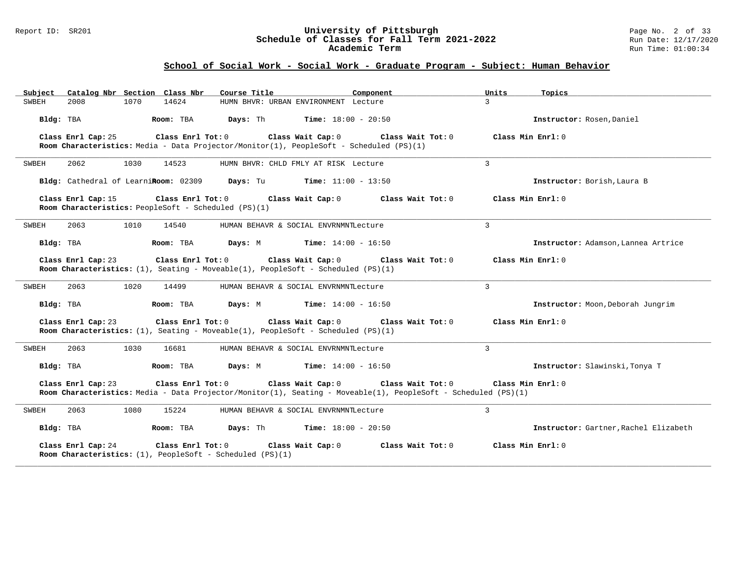#### Report ID: SR201 **University of Pittsburgh** Page No. 2 of 33 **Schedule of Classes for Fall Term 2021-2022** Run Date: 12/17/2020 **Academic Term** Run Time: 01:00:34

# **School of Social Work - Social Work - Graduate Program - Subject: Human Behavior**

| Catalog Nbr Section Class Nbr<br>Subject                                                                                                                  | Course Title                          | Component                    | Units               | Topics                                |
|-----------------------------------------------------------------------------------------------------------------------------------------------------------|---------------------------------------|------------------------------|---------------------|---------------------------------------|
| 2008<br>1070<br>14624<br>SWBEH                                                                                                                            | HUMN BHVR: URBAN ENVIRONMENT Lecture  |                              | $\mathcal{E}$       |                                       |
| Bldg: TBA<br>Room: TBA                                                                                                                                    | Days: Th                              | <b>Time:</b> $18:00 - 20:50$ |                     | Instructor: Rosen, Daniel             |
| Class Enrl Tot: 0<br>Class Enrl Cap: 25<br>Room Characteristics: Media - Data Projector/Monitor(1), PeopleSoft - Scheduled (PS)(1)                        | Class Wait Cap: 0                     | Class Wait Tot: 0            | Class Min $Enrl: 0$ |                                       |
| 2062<br>1030<br>14523<br>SWBEH                                                                                                                            | HUMN BHVR: CHLD FMLY AT RISK Lecture  |                              | 3                   |                                       |
| Bldg: Cathedral of LearniRoom: 02309 Days: Tu                                                                                                             |                                       | <b>Time:</b> $11:00 - 13:50$ |                     | Instructor: Borish, Laura B           |
| Class Enrl Cap: 15<br>Room Characteristics: PeopleSoft - Scheduled (PS)(1)                                                                                | Class Enrl Tot: 0 Class Wait Cap: 0   | Class Wait Tot: 0            | Class Min $Enrl: 0$ |                                       |
| SWBEH<br>2063<br>1010<br>14540                                                                                                                            | HUMAN BEHAVR & SOCIAL ENVRNMNTLecture |                              | 3                   |                                       |
| Bldg: TBA<br>Room: TBA                                                                                                                                    | Days: M                               | <b>Time:</b> $14:00 - 16:50$ |                     | Instructor: Adamson, Lannea Artrice   |
| Class Enrl Cap: 23<br>Room Characteristics: $(1)$ , Seating - Moveable(1), PeopleSoft - Scheduled (PS)(1)                                                 | Class Enrl Tot: 0 Class Wait Cap: 0   | Class Wait Tot: 0            | Class Min Enrl: 0   |                                       |
| 2063<br>1020<br>SWBEH<br>14499                                                                                                                            | HUMAN BEHAVR & SOCIAL ENVRNMNTLecture |                              | $\mathcal{L}$       |                                       |
| Bldg: TBA<br>Room: TBA                                                                                                                                    | Days: M                               | <b>Time:</b> $14:00 - 16:50$ |                     | Instructor: Moon, Deborah Jungrim     |
| Class Enrl Cap: 23<br>Room Characteristics: $(1)$ , Seating - Moveable(1), PeopleSoft - Scheduled (PS)(1)                                                 | Class Enrl Tot: 0 Class Wait Cap: 0   | Class Wait Tot: 0            | Class Min Enrl: 0   |                                       |
| 2063<br>SWBEH<br>1030<br>16681                                                                                                                            | HUMAN BEHAVR & SOCIAL ENVRNMNTLecture |                              | 3                   |                                       |
| Bldg: TBA<br>Room: TBA                                                                                                                                    | Days: M                               | <b>Time:</b> $14:00 - 16:50$ |                     | Instructor: Slawinski, Tonya T        |
| Class Enrl Cap: 23<br>Class Enrl Tot: 0<br>Room Characteristics: Media - Data Projector/Monitor(1), Seating - Moveable(1), PeopleSoft - Scheduled (PS)(1) | Class Wait Cap: 0                     | Class Wait Tot: 0            | Class Min Enrl: 0   |                                       |
| 2063<br>SWBEH<br>1080<br>15224                                                                                                                            | HUMAN BEHAVR & SOCIAL ENVRNMNTLecture |                              | 3                   |                                       |
| Bldg: TBA<br>Room: TBA                                                                                                                                    | Days: Th                              | <b>Time:</b> $18:00 - 20:50$ |                     | Instructor: Gartner, Rachel Elizabeth |
| Class Enrl Cap: 24<br>Class Enrl Tot: 0<br>Room Characteristics: $(1)$ , PeopleSoft - Scheduled (PS) $(1)$                                                | Class Wait Cap: 0                     | Class Wait Tot: 0            | Class Min Enrl: 0   |                                       |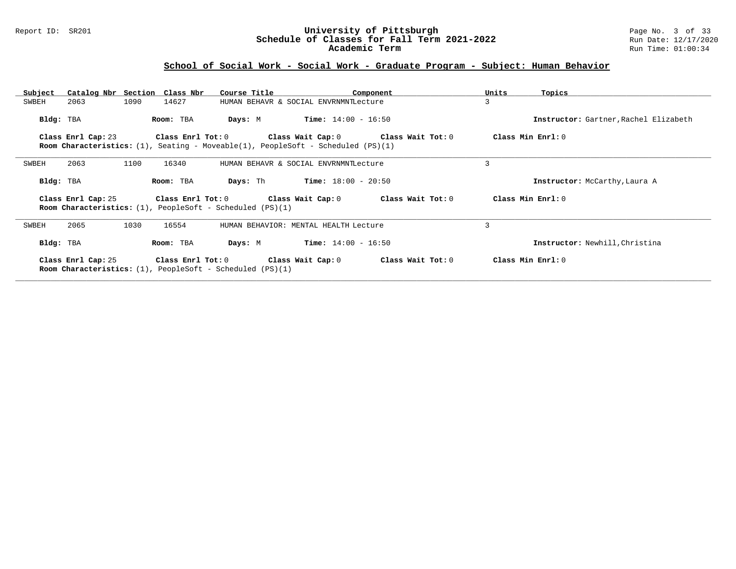### Report ID: SR201 **University of Pittsburgh** Page No. 3 of 33 **Schedule of Classes for Fall Term 2021-2022** Run Date: 12/17/2020 **Academic Term** Run Time: 01:00:34

# **School of Social Work - Social Work - Graduate Program - Subject: Human Behavior**

| Subject   | Catalog Nbr Section Class Nbr |      |           | Course Title                                                                                                 |                                       | Component                                                   | Units             | Topics                                |
|-----------|-------------------------------|------|-----------|--------------------------------------------------------------------------------------------------------------|---------------------------------------|-------------------------------------------------------------|-------------------|---------------------------------------|
| SWBEH     | 2063                          | 1090 | 14627     |                                                                                                              | HUMAN BEHAVR & SOCIAL ENVRNMNTLecture |                                                             | 3                 |                                       |
| Bldg: TBA |                               |      | Room: TBA | Days: M                                                                                                      | $Time: 14:00 - 16:50$                 |                                                             |                   | Instructor: Gartner, Rachel Elizabeth |
|           | Class Enrl Cap: 23            |      |           | <b>Room Characteristics:</b> (1), Seating - Moveable(1), PeopleSoft - Scheduled (PS)(1)                      |                                       | Class Enrl Tot: $0$ Class Wait Cap: $0$ Class Wait Tot: $0$ | Class Min Enrl: 0 |                                       |
| SWBEH     | 2063                          | 1100 | 16340     |                                                                                                              | HUMAN BEHAVR & SOCIAL ENVRNMNTLecture |                                                             | 3                 |                                       |
| Bldg: TBA |                               |      | Room: TBA | Days: Th                                                                                                     | <b>Time:</b> $18:00 - 20:50$          |                                                             |                   | Instructor: McCarthy, Laura A         |
|           | Class Enrl Cap: 25            |      |           | Room Characteristics: (1), PeopleSoft - Scheduled (PS)(1)                                                    |                                       | Class Enrl Tot: $0$ Class Wait Cap: $0$ Class Wait Tot: $0$ | Class Min Enrl: 0 |                                       |
| SWBEH     | 2065                          | 1030 | 16554     |                                                                                                              | HUMAN BEHAVIOR: MENTAL HEALTH Lecture |                                                             | 3                 |                                       |
| Bldg: TBA |                               |      | Room: TBA | Days: M                                                                                                      | $Time: 14:00 - 16:50$                 |                                                             |                   | Instructor: Newhill, Christina        |
|           | Class Enrl Cap: 25            |      |           | Class Enrl Tot: 0 Class Wait Cap: 0<br><b>Room Characteristics:</b> $(1)$ , PeopleSoft - Scheduled $(PS)(1)$ |                                       | Class Wait Tot: 0                                           | Class Min Enrl: 0 |                                       |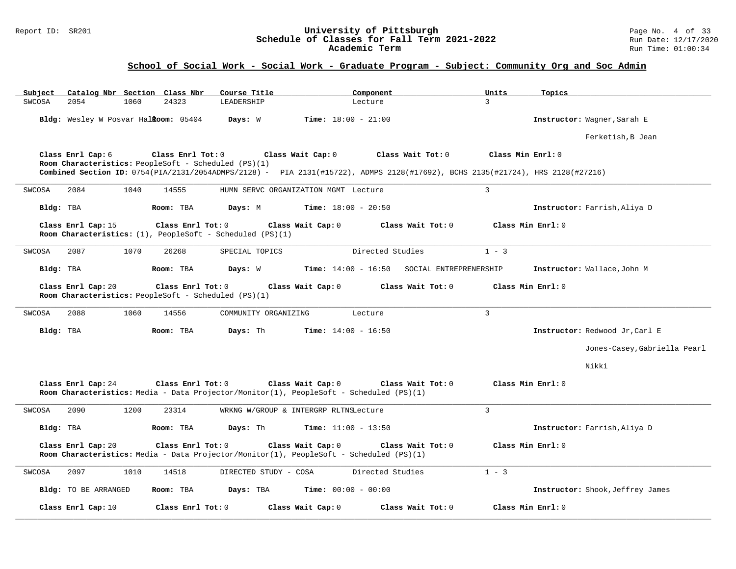#### Report ID: SR201 **University of Pittsburgh** Page No. 4 of 33 **Schedule of Classes for Fall Term 2021-2022** Run Date: 12/17/2020 **Academic Term** Run Time: 01:00:34

### **School of Social Work - Social Work - Graduate Program - Subject: Community Org and Soc Admin**

| Subject   | Catalog Nbr Section Class Nbr        |      |                   | Course Title                                                          |                                                                                                              | Component                                                                                                                      | Units             | Topics                           |
|-----------|--------------------------------------|------|-------------------|-----------------------------------------------------------------------|--------------------------------------------------------------------------------------------------------------|--------------------------------------------------------------------------------------------------------------------------------|-------------------|----------------------------------|
| SWCOSA    | 2054                                 | 1060 | 24323             | LEADERSHIP                                                            |                                                                                                              | Lecture                                                                                                                        | 3                 |                                  |
|           | Bldg: Wesley W Posvar HalRoom: 05404 |      |                   | Days: W                                                               | <b>Time:</b> $18:00 - 21:00$                                                                                 |                                                                                                                                |                   | Instructor: Wagner, Sarah E      |
|           |                                      |      |                   |                                                                       |                                                                                                              |                                                                                                                                |                   | Ferketish, B Jean                |
|           | Class Enrl Cap: 6                    |      | Class Enrl Tot: 0 |                                                                       | Class Wait Cap: 0                                                                                            | Class Wait Tot: 0                                                                                                              | Class Min Enrl: 0 |                                  |
|           |                                      |      |                   | Room Characteristics: PeopleSoft - Scheduled (PS)(1)                  |                                                                                                              | Combined Section ID: 0754(PIA/2131/2054ADMPS/2128) - PIA 2131(#15722), ADMPS 2128(#17692), BCHS 2135(#21724), HRS 2128(#27216) |                   |                                  |
| SWCOSA    | 2084                                 | 1040 | 14555             |                                                                       | HUMN SERVC ORGANIZATION MGMT Lecture                                                                         |                                                                                                                                | 3                 |                                  |
|           |                                      |      |                   |                                                                       |                                                                                                              |                                                                                                                                |                   |                                  |
|           | Bldg: TBA                            |      | Room: TBA         | Days: M                                                               | <b>Time:</b> $18:00 - 20:50$                                                                                 |                                                                                                                                |                   | Instructor: Farrish, Aliya D     |
|           | Class Enrl Cap: 15                   |      | Class Enrl Tot: 0 | <b>Room Characteristics:</b> $(1)$ , PeopleSoft - Scheduled $(PS)(1)$ | Class Wait Cap: 0                                                                                            | Class Wait Tot: 0                                                                                                              |                   | Class Min Enrl: 0                |
|           |                                      |      |                   |                                                                       |                                                                                                              |                                                                                                                                |                   |                                  |
| SWCOSA    | 2087                                 | 1070 | 26268             | SPECIAL TOPICS                                                        |                                                                                                              | Directed Studies                                                                                                               | $1 - 3$           |                                  |
|           | Bldg: TBA                            |      | Room: TBA         | Days: W                                                               |                                                                                                              | $Time: 14:00 - 16:50$ SOCIAL ENTREPRENERSHIP                                                                                   |                   | Instructor: Wallace, John M      |
|           | Class Enrl Cap: 20                   |      | Class Enrl Tot: 0 | Room Characteristics: PeopleSoft - Scheduled (PS)(1)                  | Class Wait Cap: 0                                                                                            | Class Wait Tot: 0                                                                                                              |                   | Class Min Enrl: 0                |
| SWCOSA    | 2088                                 | 1060 | 14556             | COMMUNITY ORGANIZING                                                  |                                                                                                              | Lecture                                                                                                                        | 3                 |                                  |
|           | Bldg: TBA                            |      | Room: TBA         | Days: Th                                                              | <b>Time:</b> $14:00 - 16:50$                                                                                 |                                                                                                                                |                   | Instructor: Redwood Jr, Carl E   |
|           |                                      |      |                   |                                                                       |                                                                                                              |                                                                                                                                |                   | Jones-Casey, Gabriella Pearl     |
|           |                                      |      |                   |                                                                       |                                                                                                              |                                                                                                                                |                   | Nikki                            |
|           | Class Enrl Cap: 24                   |      | Class Enrl Tot: 0 |                                                                       | Class Wait Cap: 0<br>Room Characteristics: Media - Data Projector/Monitor(1), PeopleSoft - Scheduled (PS)(1) | Class Wait Tot: 0                                                                                                              |                   | Class Min Enrl: 0                |
| SWCOSA    | 2090                                 | 1200 | 23314             |                                                                       | WRKNG W/GROUP & INTERGRP RLTNSLecture                                                                        |                                                                                                                                | $\overline{3}$    |                                  |
| Bldg: TBA |                                      |      | Room: TBA         | Days: Th                                                              | <b>Time:</b> $11:00 - 13:50$                                                                                 |                                                                                                                                |                   | Instructor: Farrish, Aliya D     |
|           | Class Enrl Cap: 20                   |      | Class Enrl Tot: 0 |                                                                       | Class Wait Cap: 0<br>Room Characteristics: Media - Data Projector/Monitor(1), PeopleSoft - Scheduled (PS)(1) | Class Wait Tot: 0                                                                                                              |                   | Class Min Enrl: 0                |
| SWCOSA    | 2097                                 | 1010 | 14518             | DIRECTED STUDY - COSA                                                 |                                                                                                              | Directed Studies                                                                                                               | $1 - 3$           |                                  |
|           | Bldg: TO BE ARRANGED                 |      | Room: TBA         | Days: TBA                                                             | <b>Time:</b> $00:00 - 00:00$                                                                                 |                                                                                                                                |                   | Instructor: Shook, Jeffrey James |
|           | Class Enrl Cap: 10                   |      | Class Enrl Tot: 0 |                                                                       | Class Wait Cap: 0                                                                                            | Class Wait Tot: 0                                                                                                              |                   | Class Min Enrl: 0                |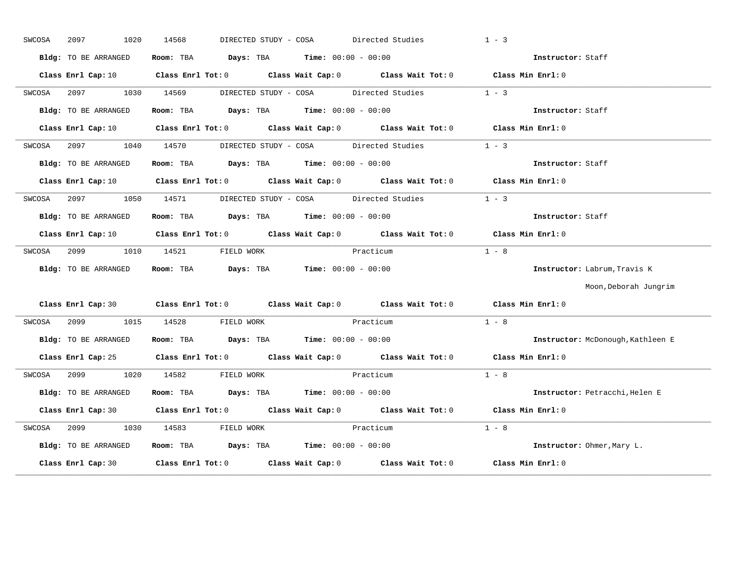| SWCOSA | 2097<br>1020         | 14568                                                                                 | DIRECTED STUDY - COSA Directed Studies                                                                                         | $1 - 3$                           |
|--------|----------------------|---------------------------------------------------------------------------------------|--------------------------------------------------------------------------------------------------------------------------------|-----------------------------------|
|        | Bldg: TO BE ARRANGED | Room: TBA $Days:$ TBA $Time: 00:00 - 00:00$                                           |                                                                                                                                | Instructor: Staff                 |
|        |                      |                                                                                       | Class Enrl Cap: 10 Class Enrl Tot: 0 Class Wait Cap: 0 Class Wait Tot: 0 Class Min Enrl: 0                                     |                                   |
|        |                      |                                                                                       | SWCOSA 2097 1030 14569 DIRECTED STUDY - COSA Directed Studies                                                                  | $1 - 3$                           |
|        | Bldg: TO BE ARRANGED | Room: TBA $Days: TBA$ Time: $00:00 - 00:00$                                           |                                                                                                                                | Instructor: Staff                 |
|        |                      |                                                                                       | Class Enrl Cap: 10 Class Enrl Tot: 0 Class Wait Cap: 0 Class Wait Tot: 0 Class Min Enrl: 0                                     |                                   |
| SWCOSA |                      |                                                                                       | 2097 1040 14570 DIRECTED STUDY - COSA Directed Studies                                                                         | $1 - 3$                           |
|        | Bldg: TO BE ARRANGED | <b>Room:</b> TBA <b>Days:</b> TBA <b>Time:</b> 00:00 - 00:00                          |                                                                                                                                | Instructor: Staff                 |
|        |                      |                                                                                       | Class Enrl Cap: 10 $\qquad$ Class Enrl Tot: 0 $\qquad$ Class Wait Cap: 0 $\qquad$ Class Wait Tot: 0 $\qquad$ Class Min Enrl: 0 |                                   |
|        |                      |                                                                                       | SWCOSA 2097 1050 14571 DIRECTED STUDY - COSA Directed Studies                                                                  | $1 - 3$                           |
|        | Bldg: TO BE ARRANGED | Room: TBA $Days:$ TBA $Time:$ 00:00 - 00:00                                           |                                                                                                                                | Instructor: Staff                 |
|        |                      |                                                                                       | Class Enrl Cap: 10 $\qquad$ Class Enrl Tot: 0 $\qquad$ Class Wait Cap: 0 $\qquad$ Class Wait Tot: 0 $\qquad$ Class Min Enrl: 0 |                                   |
| SWCOSA |                      | 2099 1010 14521 FIELD WORK                                                            | Practicum                                                                                                                      | $1 - 8$                           |
|        | Bldg: TO BE ARRANGED | Room: TBA $\rule{1em}{0.15mm}$ Days: TBA $\rule{1.5mm}{0.15mm}$ Time: $00:00 - 00:00$ |                                                                                                                                | Instructor: Labrum, Travis K      |
|        |                      |                                                                                       |                                                                                                                                | Moon, Deborah Jungrim             |
|        |                      |                                                                                       | Class Enrl Cap: 30 Class Enrl Tot: 0 Class Wait Cap: 0 Class Wait Tot: 0 Class Min Enrl: 0                                     |                                   |
| SWCOSA | 2099 200             | 1015 14528 FIELD WORK                                                                 | Practicum                                                                                                                      | $1 - 8$                           |
|        | Bldg: TO BE ARRANGED | Room: TBA $Days:$ TBA $Time: 00:00 - 00:00$                                           |                                                                                                                                | Instructor: McDonough, Kathleen E |
|        |                      |                                                                                       | Class Enrl Cap: 25 Class Enrl Tot: 0 Class Wait Cap: 0 Class Wait Tot: 0 Class Min Enrl: 0                                     |                                   |
|        |                      | SWCOSA 2099 1020 14582 FIELD WORK                                                     | Practicum                                                                                                                      | $1 - 8$                           |
|        | Bldg: TO BE ARRANGED | Room: TBA $Days:$ TBA $Time: 00:00 - 00:00$                                           |                                                                                                                                | Instructor: Petracchi, Helen E    |
|        |                      |                                                                                       | Class Enrl Cap: 30 Class Enrl Tot: 0 Class Wait Cap: 0 Class Wait Tot: 0 Class Min Enrl: 0                                     |                                   |
|        |                      | SWCOSA 2099 1030 14583 FIELD WORK                                                     | Practicum                                                                                                                      | $1 - 8$                           |
|        | Bldg: TO BE ARRANGED | Room: TBA $Days:$ TBA $Time: 00:00 - 00:00$                                           |                                                                                                                                | Instructor: Ohmer, Mary L.        |
|        | Class Enrl Cap: 30   |                                                                                       | Class Enrl Tot: 0 $\qquad$ Class Wait Cap: 0 $\qquad$ Class Wait Tot: 0 $\qquad$ Class Min Enrl: 0                             |                                   |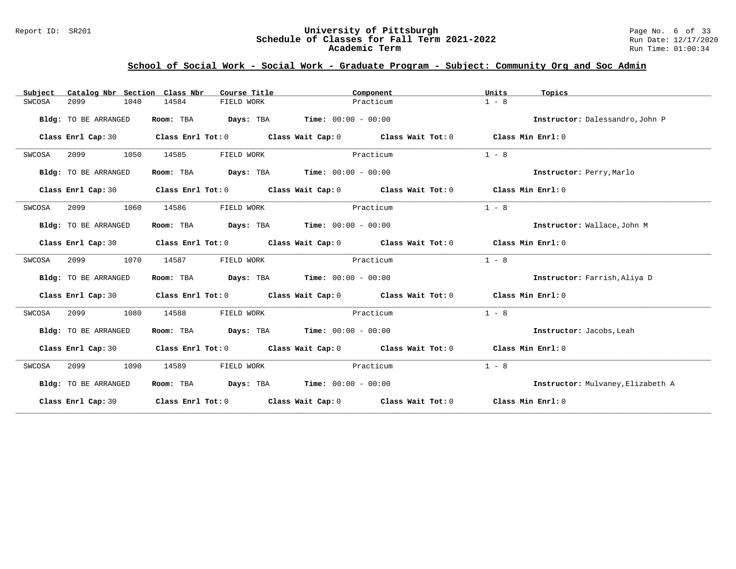### Report ID: SR201 **University of Pittsburgh University of Pittsburgh** Page No. 6 of 33<br>**Schedule of Classes for Fall Term 2021-2022** Run Date: 12/17/2020 **Schedule of Classes for Fall Term 2021-2022** Run Date: 12/17/2020 **Academic Term** Run Time: 01:00:34

# **School of Social Work - Social Work - Graduate Program - Subject: Community Org and Soc Admin**

| Catalog Nbr Section Class Nbr<br>Subject | Course Title                                | Component                                                                                  | Units<br>Topics                   |
|------------------------------------------|---------------------------------------------|--------------------------------------------------------------------------------------------|-----------------------------------|
| SWCOSA<br>2099<br>1040                   | 14584<br>FIELD WORK                         | Practicum                                                                                  | $1 - 8$                           |
| Bldg: TO BE ARRANGED                     | Room: TBA                                   | <b>Days:</b> TBA <b>Time:</b> $00:00 - 00:00$                                              | Instructor: Dalessandro, John P   |
| Class Enrl Cap: 30                       |                                             | Class Enrl Tot: $0$ Class Wait Cap: $0$ Class Wait Tot: $0$ Class Min Enrl: $0$            |                                   |
| 2099<br>1050<br>SWCOSA                   | 14585<br>FIELD WORK                         | Practicum                                                                                  | $1 - 8$                           |
| Bldg: TO BE ARRANGED                     | Room: TBA                                   | <b>Days:</b> TBA <b>Time:</b> $00:00 - 00:00$                                              | Instructor: Perry, Marlo          |
| Class Enrl Cap: 30                       |                                             | Class Enrl Tot: $0$ Class Wait Cap: $0$ Class Wait Tot: $0$ Class Min Enrl: $0$            |                                   |
| 2099<br>1060<br>SWCOSA                   | 14586<br>FIELD WORK                         | Practicum                                                                                  | $1 - 8$                           |
| Bldg: TO BE ARRANGED                     | Room: TBA                                   | <b>Days:</b> TBA <b>Time:</b> $00:00 - 00:00$                                              | Instructor: Wallace, John M       |
| Class Enrl Cap: 30                       |                                             | Class Enrl Tot: $0$ Class Wait Cap: $0$ Class Wait Tot: $0$ Class Min Enrl: $0$            |                                   |
| 1070<br>SWCOSA<br>2099                   | 14587<br>FIELD WORK                         | Practicum                                                                                  | $1 - 8$                           |
| Bldg: TO BE ARRANGED                     | Room: TBA Days: TBA Time: $00:00 - 00:00$   |                                                                                            | Instructor: Farrish, Aliya D      |
|                                          |                                             | Class Enrl Cap: 30 Class Enrl Tot: 0 Class Wait Cap: 0 Class Wait Tot: 0 Class Min Enrl: 0 |                                   |
| 2099<br>1080<br>SWCOSA                   | 14588<br>FIELD WORK                         | Practicum                                                                                  | $1 - 8$                           |
| Bldg: TO BE ARRANGED                     | Room: TBA $Days:$ TBA $Time: 00:00 - 00:00$ |                                                                                            | Instructor: Jacobs, Leah          |
|                                          |                                             | Class Enrl Cap: 30 Class Enrl Tot: 0 Class Wait Cap: 0 Class Wait Tot: 0 Class Min Enrl: 0 |                                   |
| 2099<br>1090<br>SWCOSA                   | 14589<br>FIELD WORK                         | Practicum                                                                                  | $1 - 8$                           |
| Bldg: TO BE ARRANGED                     | Room: TBA $Days:$ TBA $Time: 00:00 - 00:00$ |                                                                                            | Instructor: Mulvaney, Elizabeth A |
|                                          |                                             | Class Enrl Cap: 30 Class Enrl Tot: 0 Class Wait Cap: 0 Class Wait Tot: 0 Class Min Enrl: 0 |                                   |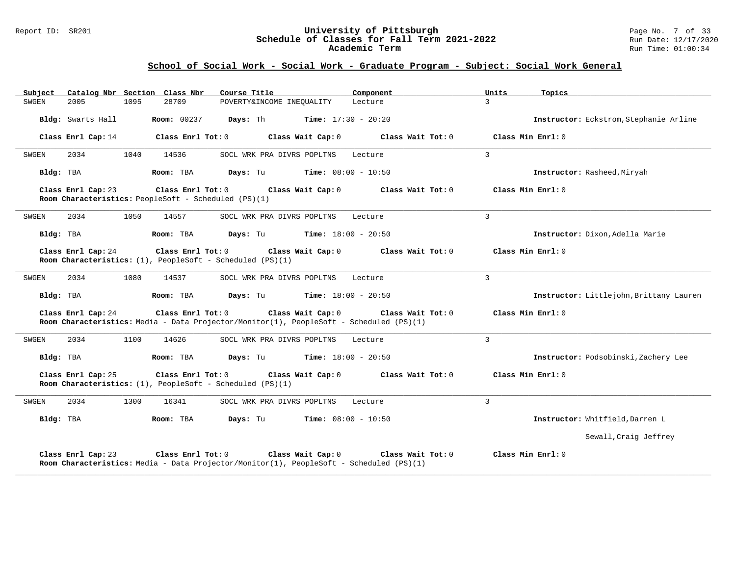#### Report ID: SR201 **University of Pittsburgh** Page No. 7 of 33 **Schedule of Classes for Fall Term 2021-2022** Run Date: 12/17/2020 **Academic Term** Run Time: 01:00:34

| Subject   |                    | Catalog Nbr Section Class Nbr                                                  | Course Title                                                                                                 | Component                    | Units<br>Topics                         |
|-----------|--------------------|--------------------------------------------------------------------------------|--------------------------------------------------------------------------------------------------------------|------------------------------|-----------------------------------------|
| SWGEN     | 2005               | 1095<br>28709                                                                  | POVERTY& INCOME INEQUALITY                                                                                   | Lecture                      | $\overline{3}$                          |
|           | Bldg: Swarts Hall  | <b>Room: 00237</b>                                                             | Days: Th                                                                                                     | <b>Time:</b> $17:30 - 20:20$ | Instructor: Eckstrom, Stephanie Arline  |
|           | Class Enrl Cap: 14 | Class Enrl Tot: 0                                                              | Class Wait Cap: 0                                                                                            | Class Wait Tot: 0            | Class Min Enrl: 0                       |
| SWGEN     | 2034               | 1040<br>14536                                                                  | SOCL WRK PRA DIVRS POPLTNS                                                                                   | Lecture                      | $\mathbf{3}$                            |
| Bldg: TBA |                    | Room: TBA                                                                      | <b>Days:</b> Tu <b>Time:</b> $08:00 - 10:50$                                                                 |                              | Instructor: Rasheed, Miryah             |
|           | Class Enrl Cap: 23 | Class Enrl Tot: 0<br>Room Characteristics: PeopleSoft - Scheduled (PS)(1)      | Class Wait Cap: 0                                                                                            | Class Wait Tot: 0            | Class Min Enrl: 0                       |
| SWGEN     | 2034               | 1050<br>14557                                                                  | SOCL WRK PRA DIVRS POPLTNS                                                                                   | Lecture                      | 3                                       |
| Bldg: TBA |                    | Room: TBA                                                                      | Days: Tu                                                                                                     | <b>Time:</b> $18:00 - 20:50$ | Instructor: Dixon, Adella Marie         |
|           | Class Enrl Cap: 24 | Class Enrl Tot: 0<br>Room Characteristics: (1), PeopleSoft - Scheduled (PS)(1) | Class Wait Cap: 0                                                                                            | Class Wait Tot: 0            | Class Min Enrl: 0                       |
| SWGEN     | 2034               | 1080<br>14537                                                                  | SOCL WRK PRA DIVRS POPLTNS                                                                                   | Lecture                      | 3                                       |
| Bldg: TBA |                    | Room: TBA                                                                      | Days: Tu                                                                                                     | <b>Time:</b> $18:00 - 20:50$ | Instructor: Littlejohn, Brittany Lauren |
|           | Class Enrl Cap: 24 | Class Enrl Tot: 0                                                              | Class Wait Cap: 0<br>Room Characteristics: Media - Data Projector/Monitor(1), PeopleSoft - Scheduled (PS)(1) | Class Wait Tot: 0            | Class Min Enrl: 0                       |
| SWGEN     | 2034               | 1100<br>14626                                                                  | SOCL WRK PRA DIVRS POPLTNS                                                                                   | Lecture                      | 3                                       |
| Bldg: TBA |                    | Room: TBA                                                                      | Days: Tu                                                                                                     | <b>Time:</b> $18:00 - 20:50$ | Instructor: Podsobinski, Zachery Lee    |
|           | Class Enrl Cap: 25 | Class Enrl Tot: 0<br>Room Characteristics: (1), PeopleSoft - Scheduled (PS)(1) | Class Wait Cap: 0                                                                                            | Class Wait Tot: 0            | Class Min Enrl: 0                       |
| SWGEN     | 2034               | 1300<br>16341                                                                  | SOCL WRK PRA DIVRS POPLTNS                                                                                   | Lecture                      | 3                                       |
| Bldg: TBA |                    | Room: TBA                                                                      | <b>Days:</b> Tu <b>Time:</b> $08:00 - 10:50$                                                                 |                              | Instructor: Whitfield, Darren L         |
|           |                    |                                                                                |                                                                                                              |                              | Sewall, Craig Jeffrey                   |
|           | Class Enrl Cap: 23 | Class Enrl Tot: 0                                                              | Class Wait Cap: 0<br>Room Characteristics: Media - Data Projector/Monitor(1), PeopleSoft - Scheduled (PS)(1) | Class Wait Tot: 0            | Class Min Enrl: 0                       |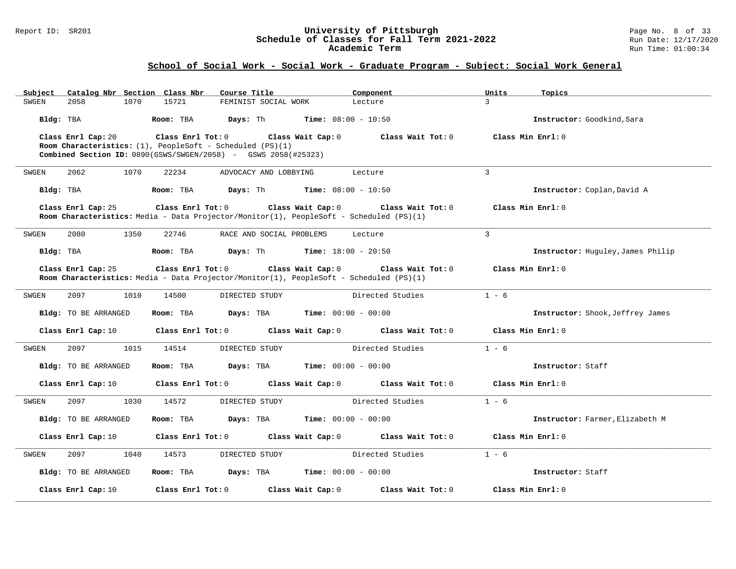#### Report ID: SR201 **University of Pittsburgh** Page No. 8 of 33 **Schedule of Classes for Fall Term 2021-2022** Run Date: 12/17/2020 **Academic Term** Run Time: 01:00:34

| Catalog Nbr Section Class Nbr<br>Subject | Course Title                                                                                                                                                            | Component                                     | Units<br>Topics                   |
|------------------------------------------|-------------------------------------------------------------------------------------------------------------------------------------------------------------------------|-----------------------------------------------|-----------------------------------|
| 2058<br>1070<br>SWGEN                    | 15721<br>FEMINIST SOCIAL WORK                                                                                                                                           | Lecture                                       | 3                                 |
| Bldg: TBA                                | Room: TBA<br>Days: Th                                                                                                                                                   | <b>Time:</b> $08:00 - 10:50$                  | Instructor: Goodkind, Sara        |
| Class Enrl Cap: 20                       | $Class$ $Enr1$ $Tot: 0$<br>Room Characteristics: $(1)$ , PeopleSoft - Scheduled $(PS)(1)$<br><b>Combined Section ID:</b> $0890(GSWS/SWGEN/2058)$ - GSWS $2058(\#25323)$ | Class Wait Cap: 0<br>Class Wait Tot: 0        | Class Min Enrl: 0                 |
| SWGEN<br>2062<br>1070                    | 22234<br>ADVOCACY AND LOBBYING                                                                                                                                          | Lecture                                       | $\mathbf{3}$                      |
| Bldg: TBA                                | Room: TBA                                                                                                                                                               | <b>Days:</b> Th <b>Time:</b> $08:00 - 10:50$  | Instructor: Coplan, David A       |
| Class Enrl Cap: 25                       | Class Enrl Tot: 0<br>Room Characteristics: Media - Data Projector/Monitor(1), PeopleSoft - Scheduled (PS)(1)                                                            | Class Wait Cap: 0<br>Class Wait Tot: 0        | Class Min Enrl: 0                 |
| SWGEN<br>2080<br>1350                    | 22746<br>RACE AND SOCIAL PROBLEMS                                                                                                                                       | Lecture                                       | 3                                 |
| Bldg: TBA                                | Room: TBA<br>Days: Th                                                                                                                                                   | <b>Time:</b> $18:00 - 20:50$                  | Instructor: Huguley, James Philip |
| Class Enrl Cap: 25                       | Class Enrl Tot: 0<br>Room Characteristics: Media - Data Projector/Monitor(1), PeopleSoft - Scheduled (PS)(1)                                                            | Class Wait Cap: 0<br>Class Wait Tot: 0        | Class Min Enrl: 0                 |
| 2097<br>1010<br>SWGEN                    | 14500<br>DIRECTED STUDY                                                                                                                                                 | Directed Studies                              | $1 - 6$                           |
| <b>Bldg:</b> TO BE ARRANGED              | Days: TBA<br>Room: TBA                                                                                                                                                  | $Time: 00:00 - 00:00$                         | Instructor: Shook, Jeffrey James  |
| Class Enrl Cap: 10                       | Class Enrl Tot: 0                                                                                                                                                       | Class Wait Cap: 0<br>Class Wait Tot: 0        | Class Min Enrl: 0                 |
| 2097<br>1015<br>SWGEN                    | 14514<br>DIRECTED STUDY                                                                                                                                                 | Directed Studies                              | $1 - 6$                           |
| Bldg: TO BE ARRANGED                     | Room: TBA<br>Days: TBA                                                                                                                                                  | $Time: 00:00 - 00:00$                         | Instructor: Staff                 |
| Class Enrl Cap: 10                       | Class Enrl Tot: 0                                                                                                                                                       | Class Wait Cap: 0<br>Class Wait Tot: 0        | Class Min Enrl: 0                 |
| 2097<br>1030<br>SWGEN                    | 14572<br>DIRECTED STUDY                                                                                                                                                 | Directed Studies                              | $1 - 6$                           |
| Bldg: TO BE ARRANGED                     | Room: TBA                                                                                                                                                               | <b>Days:</b> TBA <b>Time:</b> $00:00 - 00:00$ | Instructor: Farmer, Elizabeth M   |
| Class Enrl Cap: 10                       | Class Enrl Tot: 0                                                                                                                                                       | Class Wait Cap: 0 Class Wait Tot: 0           | Class Min Enrl: 0                 |
| 2097<br>1040<br>SWGEN                    | 14573<br>DIRECTED STUDY                                                                                                                                                 | Directed Studies                              | $1 - 6$                           |
| Bldg: TO BE ARRANGED                     | Room: TBA<br>Days: TBA                                                                                                                                                  | $Time: 00:00 - 00:00$                         | Instructor: Staff                 |
| Class Enrl Cap: 10                       | Class Enrl Tot: $0$                                                                                                                                                     | Class Wait Tot: 0<br>Class Wait Cap: 0        | Class Min Enrl: 0                 |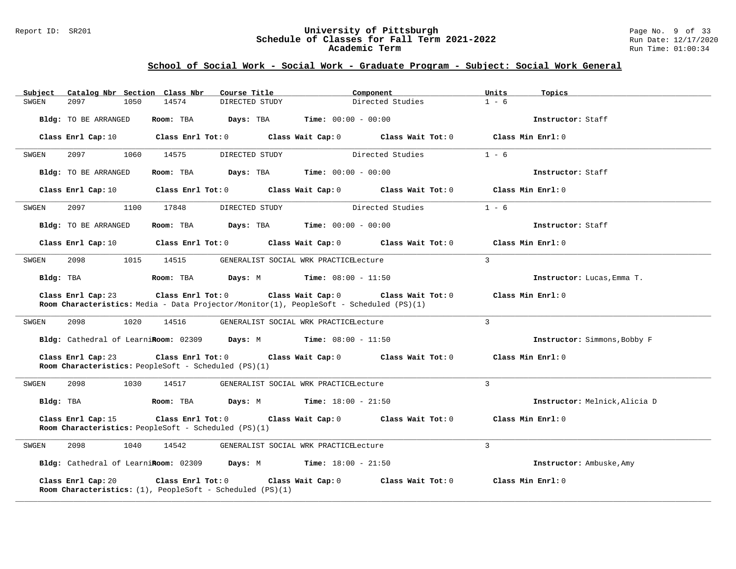#### Report ID: SR201 **University of Pittsburgh** Page No. 9 of 33 **Schedule of Classes for Fall Term 2021-2022** Run Date: 12/17/2020 **Academic Term** Run Time: 01:00:34

| Subject              | Catalog Nbr Section Class Nbr                        | Course Title                                                                        | Component                                                                                                                                        | Units<br>Topics               |
|----------------------|------------------------------------------------------|-------------------------------------------------------------------------------------|--------------------------------------------------------------------------------------------------------------------------------------------------|-------------------------------|
| <b>SWGEN</b><br>2097 | 1050<br>14574                                        | DIRECTED STUDY                                                                      | Directed Studies                                                                                                                                 | $1 - 6$                       |
| Bldg: TO BE ARRANGED | Room: TBA                                            | Days: TBA                                                                           | <b>Time:</b> $00:00 - 00:00$                                                                                                                     | Instructor: Staff             |
| Class Enrl Cap: 10   |                                                      |                                                                                     | Class Enrl Tot: 0 Class Wait Cap: 0 Class Wait Tot: 0                                                                                            | Class Min Enrl: 0             |
| SWGEN<br>2097        | 14575<br>1060                                        | DIRECTED STUDY                                                                      | Directed Studies                                                                                                                                 | $1 - 6$                       |
| Bldg: TO BE ARRANGED | Room: TBA                                            |                                                                                     | <b>Days:</b> TBA <b>Time:</b> $00:00 - 00:00$                                                                                                    | Instructor: Staff             |
| Class Enrl Cap: 10   |                                                      | $Class$ $Enrl$ $Tot: 0$                                                             | Class Wait Cap: 0 Class Wait Tot: 0                                                                                                              | Class Min Enrl: 0             |
| SWGEN<br>2097        | 1100<br>17848                                        | DIRECTED STUDY                                                                      | Directed Studies                                                                                                                                 | $1 - 6$                       |
| Bldg: TO BE ARRANGED |                                                      | Room: TBA $Days:$ TBA $Time: 00:00 - 00:00$                                         |                                                                                                                                                  | Instructor: Staff             |
| Class Enrl Cap: 10   |                                                      |                                                                                     | Class Enrl Tot: $0$ Class Wait Cap: $0$ Class Wait Tot: $0$                                                                                      | Class Min Enrl: 0             |
| 2098<br>SWGEN        | 1015<br>14515                                        |                                                                                     | GENERALIST SOCIAL WRK PRACTICELecture                                                                                                            | $\mathbf{3}$                  |
| Bldg: TBA            |                                                      | Room: TBA $Days: M$ Time: $08:00 - 11:50$                                           |                                                                                                                                                  | Instructor: Lucas, Emma T.    |
| Class Enrl Cap: 23   |                                                      |                                                                                     | Class Enrl Tot: 0 Class Wait Cap: 0 Class Wait Tot: 0<br>Room Characteristics: Media - Data Projector/Monitor(1), PeopleSoft - Scheduled (PS)(1) | Class Min $Err1:0$            |
| SWGEN<br>2098        | 1020<br>14516                                        |                                                                                     | GENERALIST SOCIAL WRK PRACTICELecture                                                                                                            | 3                             |
|                      |                                                      | Bldg: Cathedral of Learni Room: 02309 Days: M Time: 08:00 - 11:50                   |                                                                                                                                                  | Instructor: Simmons, Bobby F  |
| Class Enrl Cap: 23   | Room Characteristics: PeopleSoft - Scheduled (PS)(1) |                                                                                     | Class Enrl Tot: 0 Class Wait Cap: 0 Class Wait Tot: 0                                                                                            | Class Min Enrl: 0             |
| SWGEN<br>2098        | 1030<br>14517                                        |                                                                                     | GENERALIST SOCIAL WRK PRACTICELecture                                                                                                            | $\mathbf{3}$                  |
| Bldg: TBA            | Room: TBA                                            |                                                                                     | <b>Days:</b> M <b>Time:</b> $18:00 - 21:50$                                                                                                      | Instructor: Melnick, Alicia D |
| Class Enrl Cap: 15   | Room Characteristics: PeopleSoft - Scheduled (PS)(1) |                                                                                     | Class Enrl Tot: $0$ Class Wait Cap: $0$ Class Wait Tot: $0$                                                                                      | Class Min Enrl: 0             |
| 2098<br>SWGEN        | 1040<br>14542                                        |                                                                                     | GENERALIST SOCIAL WRK PRACTICELecture                                                                                                            | 3                             |
|                      |                                                      | Bldg: Cathedral of LearniRoom: 02309 Days: M Time: 18:00 - 21:50                    |                                                                                                                                                  | Instructor: Ambuske, Amy      |
| Class Enrl Cap: 20   |                                                      | Class Enrl Tot: 0<br>Room Characteristics: $(1)$ , PeopleSoft - Scheduled $(PS)(1)$ | Class Wait Cap: 0 Class Wait Tot: 0                                                                                                              | Class Min Enrl: 0             |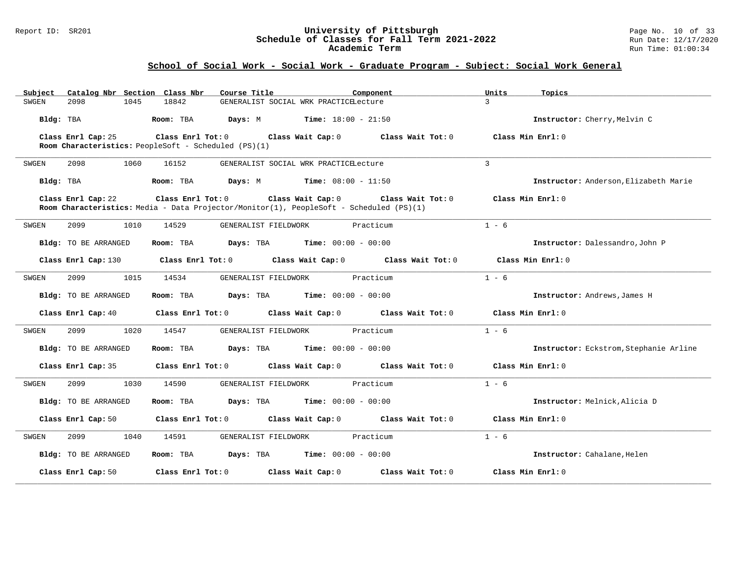#### Report ID: SR201 **University of Pittsburgh** Page No. 10 of 33 **Schedule of Classes for Fall Term 2021-2022** Run Date: 12/17/2020 **Academic Term** Run Time: 01:00:34

| Catalog Nbr Section Class Nbr<br>Subject | Course Title                                                                                                 | Component                                                                       | Units<br>Topics                        |
|------------------------------------------|--------------------------------------------------------------------------------------------------------------|---------------------------------------------------------------------------------|----------------------------------------|
| SWGEN<br>2098<br>1045                    | 18842                                                                                                        | GENERALIST SOCIAL WRK PRACTICELecture                                           | $\mathcal{L}$                          |
| Bldg: TBA                                | Room: TBA<br>Days: M                                                                                         | <b>Time:</b> $18:00 - 21:50$                                                    | Instructor: Cherry, Melvin C           |
| Class Enrl Cap: 25                       | Room Characteristics: PeopleSoft - Scheduled (PS)(1)                                                         | Class Enrl Tot: 0 Class Wait Cap: 0 Class Wait Tot: 0                           | Class Min Enrl: 0                      |
| 2098<br>1060<br>SWGEN                    | 16152                                                                                                        | GENERALIST SOCIAL WRK PRACTICELecture                                           | $\overline{3}$                         |
| Bldg: TBA                                | Room: TBA<br>Days: M                                                                                         | $Time: 08:00 - 11:50$                                                           | Instructor: Anderson, Elizabeth Marie  |
| Class Enrl Cap: 22                       | Class Enrl Tot: 0<br>Room Characteristics: Media - Data Projector/Monitor(1), PeopleSoft - Scheduled (PS)(1) | Class Wait Cap: 0<br>Class Wait Tot: 0                                          | Class Min Enrl: 0                      |
| 2099<br>1010<br>SWGEN                    | 14529<br>GENERALIST FIELDWORK                                                                                | Practicum                                                                       | $1 - 6$                                |
| Bldg: TO BE ARRANGED                     | Room: TBA                                                                                                    | <b>Days:</b> TBA <b>Time:</b> $00:00 - 00:00$                                   | Instructor: Dalessandro, John P        |
| Class Enrl Cap: 130                      |                                                                                                              | Class Enrl Tot: $0$ Class Wait Cap: $0$ Class Wait Tot: $0$                     | Class Min Enrl: 0                      |
| 2099<br>1015<br>SWGEN                    | 14534                                                                                                        | GENERALIST FIELDWORK Practicum                                                  | $1 - 6$                                |
| Bldg: TO BE ARRANGED                     | Room: TBA                                                                                                    | $\texttt{DayS:}$ TBA $\texttt{Time:}$ 00:00 - 00:00                             | Instructor: Andrews, James H           |
| Class Enrl Cap: 40                       |                                                                                                              | Class Enrl Tot: $0$ Class Wait Cap: $0$ Class Wait Tot: $0$ Class Min Enrl: $0$ |                                        |
| 2099<br>1020<br>SWGEN                    | 14547                                                                                                        | GENERALIST FIELDWORK Practicum                                                  | $1 - 6$                                |
| Bldg: TO BE ARRANGED                     | Room: TBA                                                                                                    | <b>Days:</b> TBA <b>Time:</b> $00:00 - 00:00$                                   | Instructor: Eckstrom, Stephanie Arline |
| Class Enrl Cap: 35                       |                                                                                                              | Class Enrl Tot: $0$ Class Wait Cap: $0$ Class Wait Tot: $0$                     | Class Min Enrl: 0                      |
| 2099<br>1030<br>SWGEN                    | 14590<br>GENERALIST FIELDWORK                                                                                | Practicum                                                                       | $1 - 6$                                |
| Bldg: TO BE ARRANGED                     | Room: TBA                                                                                                    | $\texttt{Days:}$ TBA $\texttt{Time:}$ 00:00 - 00:00                             | Instructor: Melnick, Alicia D          |
| Class Enrl Cap: 50                       |                                                                                                              | Class Enrl Tot: 0 Class Wait Cap: 0 Class Wait Tot: 0                           | Class Min Enrl: 0                      |
| 2099<br>1040<br>SWGEN                    | 14591                                                                                                        | GENERALIST FIELDWORK Practicum                                                  | $1 - 6$                                |
| Bldg: TO BE ARRANGED                     | Room: TBA                                                                                                    | <b>Days:</b> TBA <b>Time:</b> $00:00 - 00:00$                                   | Instructor: Cahalane, Helen            |
| Class Enrl Cap: 50                       | Class Enrl Tot: 0                                                                                            | Class Wait Cap: 0<br>Class Wait Tot: 0                                          | Class Min Enrl: 0                      |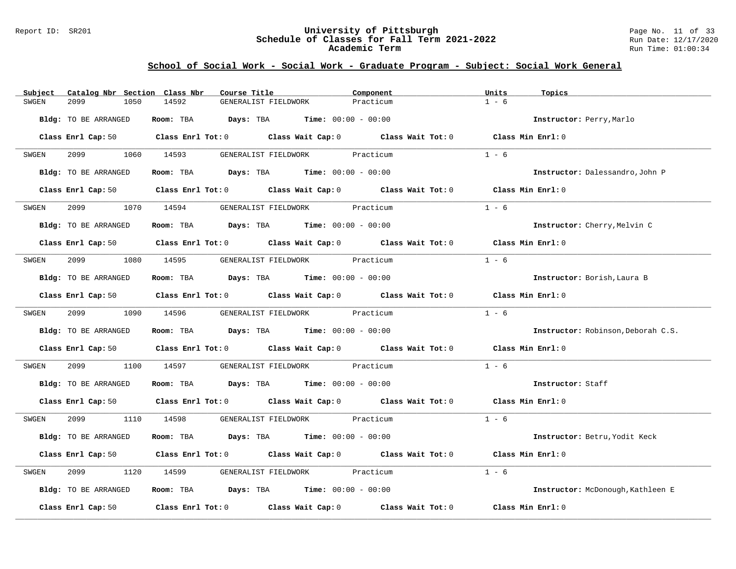#### Report ID: SR201 **University of Pittsburgh** Page No. 11 of 33 **Schedule of Classes for Fall Term 2021-2022** Run Date: 12/17/2020 **Academic Term** Run Time: 01:00:34

| Catalog Nbr Section Class Nbr<br>Subject | Course Title<br>Component                                                                                                      | Units<br>Topics                    |
|------------------------------------------|--------------------------------------------------------------------------------------------------------------------------------|------------------------------------|
| 2099<br>1050<br>SWGEN                    | 14592<br>GENERALIST FIELDWORK<br>Practicum                                                                                     | $1 - 6$                            |
| Bldg: TO BE ARRANGED                     | Room: TBA $Days:$ TBA $Time: 00:00 - 00:00$                                                                                    | Instructor: Perry, Marlo           |
|                                          | Class Enrl Cap: 50 $\qquad$ Class Enrl Tot: 0 $\qquad$ Class Wait Cap: 0 $\qquad$ Class Wait Tot: 0 $\qquad$ Class Min Enrl: 0 |                                    |
| 2099 1060 14593<br>SWGEN                 | GENERALIST FIELDWORK Practicum                                                                                                 | $1 - 6$                            |
| Bldg: TO BE ARRANGED                     | Room: TBA $Days:$ TBA $Time: 00:00 - 00:00$                                                                                    | Instructor: Dalessandro, John P    |
|                                          | Class Enrl Cap: 50 Class Enrl Tot: 0 Class Wait Cap: 0 Class Wait Tot: 0                                                       | Class Min Enrl: 0                  |
| SWGEN                                    | 2099 1070 14594 GENERALIST FIELDWORK Practicum                                                                                 | $1 - 6$                            |
| Bldg: TO BE ARRANGED                     | Room: TBA $\rule{1em}{0.15mm}$ Days: TBA $\rule{1.5mm}{0.15mm}$ Time: $00:00 - 00:00$                                          | Instructor: Cherry, Melvin C       |
|                                          | Class Enrl Cap: 50 $\qquad$ Class Enrl Tot: 0 $\qquad$ Class Wait Cap: 0 $\qquad$ Class Wait Tot: 0                            | Class Min Enrl: 0                  |
| SWGEN                                    | 2099 1080 14595 GENERALIST FIELDWORK Practicum                                                                                 | $1 - 6$                            |
| Bldg: TO BE ARRANGED                     | Room: TBA $Days:$ TBA $Time: 00:00 - 00:00$                                                                                    | Instructor: Borish, Laura B        |
|                                          | Class Enrl Cap: 50 Class Enrl Tot: 0 Class Wait Cap: 0 Class Wait Tot: 0 Class Min Enrl: 0                                     |                                    |
| 2099 1090 14596<br>SWGEN                 | GENERALIST FIELDWORK Practicum                                                                                                 | $1 - 6$                            |
| Bldg: TO BE ARRANGED                     | Room: TBA $\rule{1em}{0.15mm}$ Days: TBA Time: $00:00 - 00:00$                                                                 | Instructor: Robinson, Deborah C.S. |
|                                          | Class Enrl Cap: 50 $\qquad$ Class Enrl Tot: 0 $\qquad$ Class Wait Cap: 0 $\qquad$ Class Wait Tot: 0 $\qquad$ Class Min Enrl: 0 |                                    |
| 2099<br>1100<br>SWGEN                    | 14597<br>GENERALIST FIELDWORK Practicum                                                                                        | $1 - 6$                            |
| Bldg: TO BE ARRANGED                     | Room: TBA $Days:$ TBA $Time: 00:00 - 00:00$                                                                                    | Instructor: Staff                  |
|                                          | Class Enrl Cap: 50 $\qquad$ Class Enrl Tot: 0 $\qquad$ Class Wait Cap: 0 $\qquad$ Class Wait Tot: 0 $\qquad$ Class Min Enrl: 0 |                                    |
| SWGEN                                    | 2099 1110 14598 GENERALIST FIELDWORK Practicum                                                                                 | $1 - 6$                            |
| Bldg: TO BE ARRANGED                     | Room: TBA $Days:$ TBA $Time: 00:00 - 00:00$                                                                                    | Instructor: Betru, Yodit Keck      |
|                                          | Class Enrl Cap: 50 Class Enrl Tot: 0 Class Wait Cap: 0 Class Wait Tot: 0                                                       | Class Min Enrl: 0                  |
| 2099<br>1120<br>SWGEN                    | GENERALIST FIELDWORK Practicum<br>14599                                                                                        | $1 - 6$                            |
| Bldg: TO BE ARRANGED                     | Room: TBA $Days:$ TBA Time: $00:00 - 00:00$                                                                                    | Instructor: McDonough, Kathleen E  |
| Class Enrl Cap: 50                       | Class Enrl Tot: $0$ Class Wait Cap: $0$ Class Wait Tot: $0$                                                                    | Class Min Enrl: 0                  |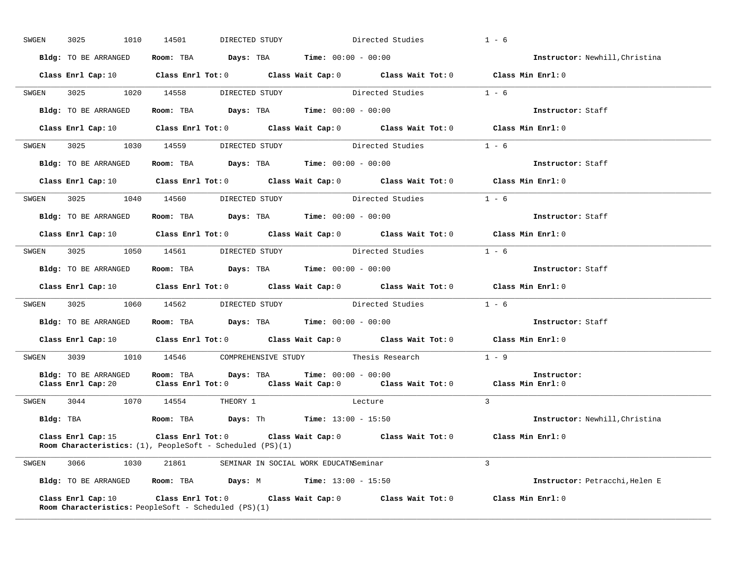| SWGEN | 3025<br>1010         | 14501<br>DIRECTED STUDY                                                                                                                                  |                                                                | Directed Studies | $1 - 6$                        |
|-------|----------------------|----------------------------------------------------------------------------------------------------------------------------------------------------------|----------------------------------------------------------------|------------------|--------------------------------|
|       | Bldg: TO BE ARRANGED |                                                                                                                                                          | Room: TBA $\rule{1em}{0.15mm}$ Days: TBA Time: $00:00 - 00:00$ |                  | Instructor: Newhill, Christina |
|       |                      | Class Enrl Cap: 10 $\qquad$ Class Enrl Tot: 0 $\qquad$ Class Wait Cap: 0 $\qquad$ Class Wait Tot: 0 $\qquad$ Class Min Enrl: 0                           |                                                                |                  |                                |
|       |                      | SWGEN 3025 1020 14558 DIRECTED STUDY Directed Studies 1 - 6                                                                                              |                                                                |                  |                                |
|       | Bldg: TO BE ARRANGED |                                                                                                                                                          | Room: TBA $Days:$ TBA $Time: 00:00 - 00:00$                    |                  | Instructor: Staff              |
|       |                      | Class Enrl Cap: 10 $\qquad$ Class Enrl Tot: 0 $\qquad$ Class Wait Cap: 0 $\qquad$ Class Wait Tot: 0 $\qquad$ Class Min Enrl: 0                           |                                                                |                  |                                |
|       |                      | SWGEN 3025 1030 14559 DIRECTED STUDY Directed Studies 1 - 6                                                                                              |                                                                |                  |                                |
|       |                      | Bldg: TO BE ARRANGED Room: TBA Days: TBA Time: 00:00 - 00:00                                                                                             |                                                                |                  | Instructor: Staff              |
|       |                      | Class Enrl Cap: 10 Class Enrl Tot: 0 Class Wait Cap: 0 Class Wait Tot: 0                                                                                 |                                                                |                  | Class Min Enrl: 0              |
|       |                      | SWGEN 3025 1040 14560 DIRECTED STUDY Directed Studies 1 - 6                                                                                              |                                                                |                  |                                |
|       |                      | Bldg: TO BE ARRANGED Room: TBA Days: TBA Time: 00:00 - 00:00                                                                                             |                                                                |                  | Instructor: Staff              |
|       |                      | Class Enrl Cap: 10 $\qquad$ Class Enrl Tot: 0 $\qquad$ Class Wait Cap: 0 $\qquad$ Class Wait Tot: 0 $\qquad$ Class Min Enrl: 0                           |                                                                |                  |                                |
|       |                      | SWGEN 3025 1050 14561 DIRECTED STUDY                                                                                                                     | Directed Studies                                               |                  | $1 - 6$                        |
|       |                      | Bldg: TO BE ARRANGED Room: TBA Days: TBA Time: 00:00 - 00:00                                                                                             |                                                                |                  | Instructor: Staff              |
|       |                      | Class Enrl Cap: 10 $\qquad$ Class Enrl Tot: 0 $\qquad$ Class Wait Cap: 0 $\qquad$ Class Wait Tot: 0 $\qquad$ Class Min Enrl: 0                           |                                                                |                  |                                |
| SWGEN |                      | 3025 1060 14562 DIRECTED STUDY Directed Studies 1 - 6                                                                                                    |                                                                |                  |                                |
|       |                      | Bldg: TO BE ARRANGED Room: TBA Days: TBA Time: 00:00 - 00:00                                                                                             |                                                                |                  | Instructor: Staff              |
|       |                      | Class Enrl Cap: 10 $\qquad$ Class Enrl Tot: 0 $\qquad$ Class Wait Cap: 0 $\qquad$ Class Wait Tot: 0 $\qquad$ Class Min Enrl: 0                           |                                                                |                  |                                |
| SWGEN |                      | 3039 1010 14546 COMPREHENSIVE STUDY Thesis Research 1 - 9                                                                                                |                                                                |                  |                                |
|       | Bldg: TO BE ARRANGED | Room: TBA<br>Class Enrl Cap: 20 Class Enrl Tot: 0 Class Wait Cap: 0 Class Wait Tot: 0 Class Min Enrl: 0                                                  | $\texttt{Days:}$ TBA $\texttt{Time:}$ 00:00 - 00:00            |                  | Instructor:                    |
|       |                      | SWGEN 3044 1070 14554 THEORY 1                                                                                                                           | <b>Example 19</b> Lecture                                      |                  | $\overline{\mathcal{E}}$       |
|       |                      |                                                                                                                                                          |                                                                |                  | Instructor: Newhill, Christina |
|       |                      |                                                                                                                                                          |                                                                |                  |                                |
|       | Class Enrl Cap: 15   | Class Enrl Tot: $0$ Class Wait Cap: $0$ Class Wait Tot: $0$ Class Min Enrl: $0$<br><b>Room Characteristics:</b> $(1)$ , PeopleSoft - Scheduled $(PS)(1)$ |                                                                |                  |                                |
|       |                      | SWGEN 3066 1030 21861 SEMINAR IN SOCIAL WORK EDUCATNSeminar                                                                                              |                                                                |                  | $\mathcal{L}$                  |
|       |                      | Bldg: TO BE ARRANGED ROOM: TBA Days: M Time: 13:00 - 15:50                                                                                               |                                                                |                  | Instructor: Petracchi, Helen E |

**\_\_\_\_\_\_\_\_\_\_\_\_\_\_\_\_\_\_\_\_\_\_\_\_\_\_\_\_\_\_\_\_\_\_\_\_\_\_\_\_\_\_\_\_\_\_\_\_\_\_\_\_\_\_\_\_\_\_\_\_\_\_\_\_\_\_\_\_\_\_\_\_\_\_\_\_\_\_\_\_\_\_\_\_\_\_\_\_\_\_\_\_\_\_\_\_\_\_\_\_\_\_\_\_\_\_\_\_\_\_\_\_\_\_\_\_\_\_\_\_\_\_\_\_\_\_\_\_\_\_\_\_\_\_\_\_\_\_\_\_\_\_\_\_\_\_\_\_\_\_\_\_\_\_\_\_**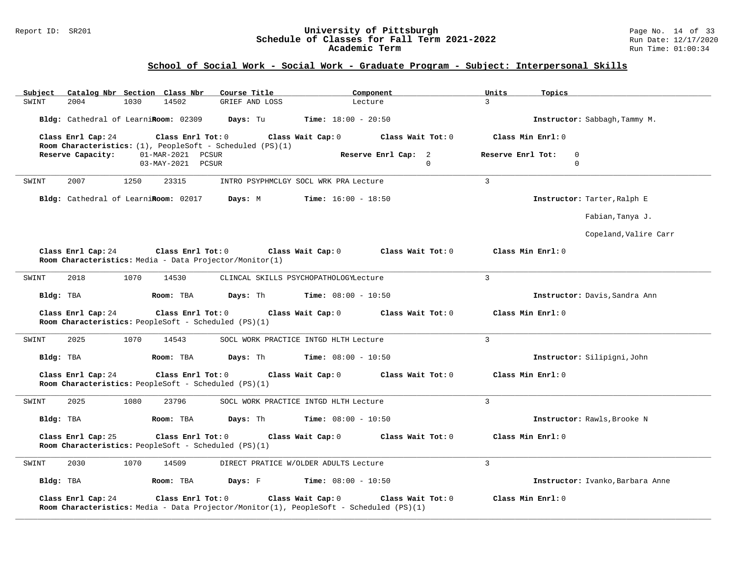#### Report ID: SR201 **University of Pittsburgh** Page No. 14 of 33 **Schedule of Classes for Fall Term 2021-2022** Run Date: 12/17/2020 **Academic Term** Run Time: 01:00:34

| Catalog Nbr Section Class Nbr<br><u>Subject</u>                                                                                    | Course Title                          | Component                    | Units<br>Topics                  |
|------------------------------------------------------------------------------------------------------------------------------------|---------------------------------------|------------------------------|----------------------------------|
| 14502<br>SWINT<br>2004<br>1030                                                                                                     | GRIEF AND LOSS                        | Lecture                      | $\mathbf{3}$                     |
| Bldg: Cathedral of Learni Room: 02309                                                                                              | Days: Tu                              | <b>Time:</b> $18:00 - 20:50$ | Instructor: Sabbagh, Tammy M.    |
| Class Enrl Cap: 24<br>Class Enrl Tot: $0$<br>Room Characteristics: (1), PeopleSoft - Scheduled (PS)(1)                             | Class Wait Cap: 0                     | Class Wait Tot: 0            | Class Min Enrl: 0                |
| Reserve Capacity:<br>01-MAR-2021 PCSUR                                                                                             |                                       | Reserve Enrl Cap: 2          | Reserve Enrl Tot:<br>0           |
| 03-MAY-2021 PCSUR                                                                                                                  |                                       | $\Omega$                     | $\Omega$                         |
| 2007<br>1250<br>23315<br>SWINT                                                                                                     | INTRO PSYPHMCLGY SOCL WRK PRA Lecture |                              | $\overline{3}$                   |
| Bldg: Cathedral of LearniRoom: 02017                                                                                               | Days: M                               | <b>Time:</b> $16:00 - 18:50$ | Instructor: Tarter, Ralph E      |
|                                                                                                                                    |                                       |                              | Fabian, Tanya J.                 |
|                                                                                                                                    |                                       |                              | Copeland, Valire Carr            |
| Class Enrl Cap: 24<br>Class Enrl Tot: 0<br>Room Characteristics: Media - Data Projector/Monitor(1)                                 | Class Wait Cap: 0                     | Class Wait Tot: 0            | Class Min Enrl: 0                |
| 1070<br>2018<br>14530<br>SWINT                                                                                                     | CLINCAL SKILLS PSYCHOPATHOLOGYLecture |                              | $\mathbf{3}$                     |
| Room: TBA<br>Bldg: TBA                                                                                                             | Days: Th                              | <b>Time:</b> $08:00 - 10:50$ | Instructor: Davis, Sandra Ann    |
| Class Enrl Cap: 24<br>Class Enrl Tot: 0<br>Room Characteristics: PeopleSoft - Scheduled (PS)(1)                                    | Class Wait Cap: 0                     | Class Wait Tot: 0            | Class Min Enrl: 0                |
| 2025<br>1070<br>14543<br>SWINT                                                                                                     | SOCL WORK PRACTICE INTGD HLTH Lecture |                              | $\overline{3}$                   |
| Bldg: TBA<br>Room: TBA                                                                                                             | Days: Th                              | $Time: 08:00 - 10:50$        | Instructor: Silipigni, John      |
| Class Enrl Cap: 24<br>Class Enrl Tot: 0<br>Room Characteristics: PeopleSoft - Scheduled (PS)(1)                                    | Class Wait Cap: 0                     | Class Wait Tot: 0            | Class Min Enrl: 0                |
| 2025<br>1080<br>23796<br>SWINT                                                                                                     | SOCL WORK PRACTICE INTGD HLTH Lecture |                              | $\overline{3}$                   |
| Room: TBA<br>Bldg: TBA                                                                                                             | Days: Th                              | <b>Time:</b> $08:00 - 10:50$ | Instructor: Rawls, Brooke N      |
| Class Enrl Cap: 25<br>Class Enrl Tot: 0<br>Room Characteristics: PeopleSoft - Scheduled (PS)(1)                                    | Class Wait Cap: 0                     | Class Wait Tot: 0            | Class Min Enrl: 0                |
| 2030<br>1070<br>14509<br>SWINT                                                                                                     | DIRECT PRATICE W/OLDER ADULTS Lecture |                              | $\mathbf{3}$                     |
| Bldg: TBA<br>Room: TBA                                                                                                             | Days: F                               | <b>Time:</b> $08:00 - 10:50$ | Instructor: Ivanko, Barbara Anne |
| Class Enrl Cap: 24<br>Class Enrl Tot: 0<br>Room Characteristics: Media - Data Projector/Monitor(1), PeopleSoft - Scheduled (PS)(1) | Class Wait Cap: 0                     | Class Wait Tot: 0            | Class Min Enrl: 0                |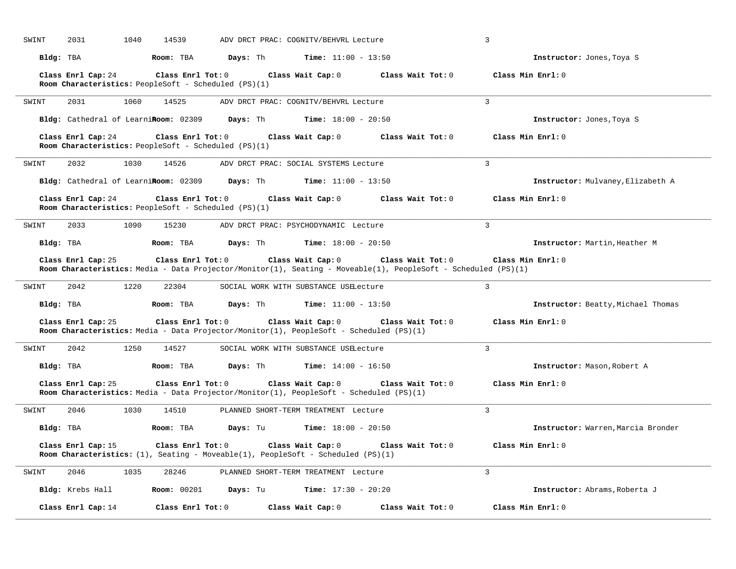| SWINT | 2031               | 1040<br>14539                                                             |          | ADV DRCT PRAC: COGNITV/BEHVRL Lecture                                                                        |                                                                                                                                     | $\overline{3}$                     |
|-------|--------------------|---------------------------------------------------------------------------|----------|--------------------------------------------------------------------------------------------------------------|-------------------------------------------------------------------------------------------------------------------------------------|------------------------------------|
|       | Bldg: TBA          | Room: TBA                                                                 | Days: Th | <b>Time:</b> $11:00 - 13:50$                                                                                 |                                                                                                                                     | Instructor: Jones, Toya S          |
|       | Class Enrl Cap: 24 | Class Enrl Tot: 0<br>Room Characteristics: PeopleSoft - Scheduled (PS)(1) |          | Class Wait Cap: 0                                                                                            | Class Wait Tot: 0                                                                                                                   | Class Min Enrl: 0                  |
| SWINT | 2031               | 1060<br>14525                                                             |          | ADV DRCT PRAC: COGNITV/BEHVRL Lecture                                                                        |                                                                                                                                     | $\overline{3}$                     |
|       |                    | Bldg: Cathedral of LearniRoom: 02309                                      | Days: Th | <b>Time:</b> $18:00 - 20:50$                                                                                 |                                                                                                                                     | Instructor: Jones, Toya S          |
|       | Class Enrl Cap: 24 | Class Enrl Tot: 0<br>Room Characteristics: PeopleSoft - Scheduled (PS)(1) |          | Class Wait Cap: 0                                                                                            | Class Wait Tot: 0                                                                                                                   | Class Min Enrl: 0                  |
| SWINT | 2032               | 1030<br>14526                                                             |          | ADV DRCT PRAC: SOCIAL SYSTEMS Lecture                                                                        |                                                                                                                                     | 3                                  |
|       |                    | Bldg: Cathedral of Learni Room: 02309                                     | Days: Th | <b>Time:</b> $11:00 - 13:50$                                                                                 |                                                                                                                                     | Instructor: Mulvaney, Elizabeth A  |
|       | Class Enrl Cap: 24 | Class Enrl Tot: 0<br>Room Characteristics: PeopleSoft - Scheduled (PS)(1) |          | Class Wait Cap: 0                                                                                            | Class Wait Tot: 0                                                                                                                   | Class Min Enrl: 0                  |
| SWINT | 2033               | 1090<br>15230                                                             |          | ADV DRCT PRAC: PSYCHODYNAMIC Lecture                                                                         |                                                                                                                                     | $\mathbf{3}$                       |
|       | Bldg: TBA          | Room: TBA                                                                 | Days: Th | <b>Time:</b> $18:00 - 20:50$                                                                                 |                                                                                                                                     | Instructor: Martin, Heather M      |
|       | Class Enrl Cap: 25 | Class Enrl Tot: 0                                                         |          | Class Wait Cap: 0                                                                                            | Class Wait Tot: 0<br>Room Characteristics: Media - Data Projector/Monitor(1), Seating - Moveable(1), PeopleSoft - Scheduled (PS)(1) | Class Min Enrl: 0                  |
| SWINT | 2042               | 1220<br>22304                                                             |          | SOCIAL WORK WITH SUBSTANCE USELecture                                                                        |                                                                                                                                     | 3                                  |
|       | Bldg: TBA          | Room: TBA                                                                 | Days: Th | <b>Time:</b> $11:00 - 13:50$                                                                                 |                                                                                                                                     | Instructor: Beatty, Michael Thomas |
|       | Class Enrl Cap: 25 | Class Enrl Tot: 0                                                         |          | Class Wait Cap: 0<br>Room Characteristics: Media - Data Projector/Monitor(1), PeopleSoft - Scheduled (PS)(1) | Class Wait Tot: 0                                                                                                                   | Class Min Enrl: 0                  |
| SWINT | 2042               | 1250<br>14527                                                             |          | SOCIAL WORK WITH SUBSTANCE USELecture                                                                        |                                                                                                                                     | $\overline{3}$                     |
|       | Bldg: TBA          | Room: TBA                                                                 | Days: Th | <b>Time:</b> $14:00 - 16:50$                                                                                 |                                                                                                                                     | Instructor: Mason, Robert A        |
|       | Class Enrl Cap: 25 | Class Enrl Tot: 0                                                         |          | Class Wait Cap: 0<br>Room Characteristics: Media - Data Projector/Monitor(1), PeopleSoft - Scheduled (PS)(1) | Class Wait Tot: 0                                                                                                                   | Class Min Enrl: 0                  |
| SWINT | 2046               | 1030<br>14510                                                             |          | PLANNED SHORT-TERM TREATMENT Lecture                                                                         |                                                                                                                                     | $\overline{3}$                     |
|       | Bldg: TBA          | Room: TBA                                                                 | Days: Tu | <b>Time:</b> $18:00 - 20:50$                                                                                 |                                                                                                                                     | Instructor: Warren, Marcia Bronder |
|       | Class Enrl Cap: 15 | Class Enrl Tot: 0                                                         |          | Class Wait Cap: 0<br><b>Room Characteristics:</b> (1), Seating - Moveable(1), PeopleSoft - Scheduled (PS)(1) | Class Wait Tot: 0                                                                                                                   | Class Min Enrl: 0                  |
| SWINT | 2046               |                                                                           |          |                                                                                                              |                                                                                                                                     |                                    |
|       |                    | 1035<br>28246                                                             |          | PLANNED SHORT-TERM TREATMENT Lecture                                                                         |                                                                                                                                     | 3                                  |
|       | Bldg: Krebs Hall   | <b>Room: 00201</b>                                                        | Days: Tu | <b>Time:</b> $17:30 - 20:20$                                                                                 |                                                                                                                                     | Instructor: Abrams, Roberta J      |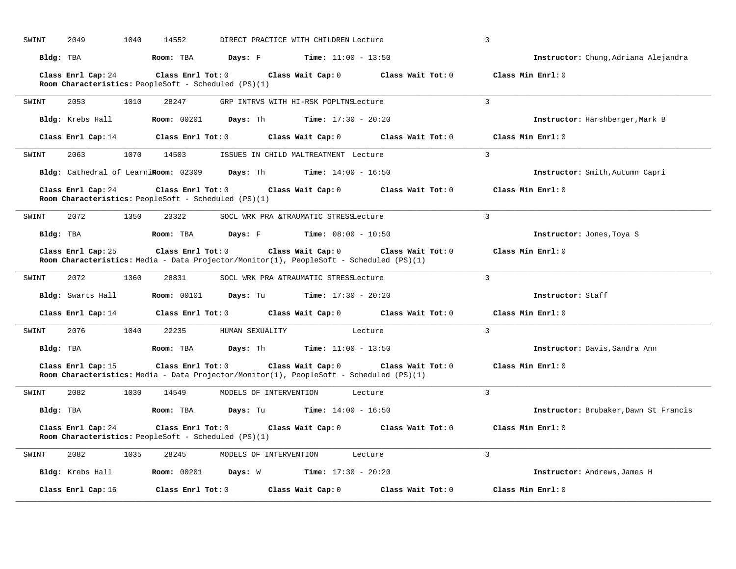| SWINT | 1040<br>2049                                                                                                  | 14552              |                        | DIRECT PRACTICE WITH CHILDREN Lecture                         |                                     | 3                                     |
|-------|---------------------------------------------------------------------------------------------------------------|--------------------|------------------------|---------------------------------------------------------------|-------------------------------------|---------------------------------------|
|       | Bldg: TBA                                                                                                     | Room: TBA          |                        | <b>Days:</b> F <b>Time:</b> $11:00 - 13:50$                   |                                     | Instructor: Chung, Adriana Alejandra  |
|       | Class Enrl Cap: 24<br>Room Characteristics: PeopleSoft - Scheduled (PS)(1)                                    | Class Enrl Tot: 0  |                        |                                                               | Class Wait Cap: 0 Class Wait Tot: 0 | Class Min Enrl: 0                     |
| SWINT | 2053<br>1010                                                                                                  | 28247              |                        | GRP INTRVS WITH HI-RSK POPLTNSLecture                         |                                     | 3                                     |
|       | Bldg: Krebs Hall                                                                                              |                    |                        | <b>Room:</b> 00201 <b>Days:</b> Th <b>Time:</b> 17:30 - 20:20 |                                     | Instructor: Harshberger, Mark B       |
|       | Class Enrl Cap: 14                                                                                            | Class Enrl Tot: 0  |                        | Class Wait Cap: 0                                             | Class Wait Tot: 0                   | Class Min Enrl: 0                     |
| SWINT | 1070<br>2063                                                                                                  | 14503              |                        | ISSUES IN CHILD MALTREATMENT Lecture                          |                                     | $\overline{3}$                        |
|       | Bldg: Cathedral of LearniRoom: 02309                                                                          |                    |                        | <b>Days:</b> Th <b>Time:</b> $14:00 - 16:50$                  |                                     | Instructor: Smith, Autumn Capri       |
|       | Class Enrl Cap: 24<br>Room Characteristics: PeopleSoft - Scheduled (PS)(1)                                    | Class Enrl Tot: 0  |                        | Class Wait Cap: 0                                             | Class Wait Tot: 0                   | Class Min Enrl: 0                     |
| SWINT | 2072<br>1350                                                                                                  | 23322              |                        | SOCL WRK PRA &TRAUMATIC STRESSLecture                         |                                     | 3                                     |
|       | Bldg: TBA                                                                                                     | Room: TBA          |                        | <b>Days:</b> F Time: $08:00 - 10:50$                          |                                     | Instructor: Jones, Toya S             |
|       | Class Enrl Cap: 25<br>Room Characteristics: Media - Data Projector/Monitor(1), PeopleSoft - Scheduled (PS)(1) | Class Enrl Tot: 0  |                        | Class Wait Cap: 0                                             | Class Wait Tot: 0                   | Class Min Enrl: 0                     |
| SWINT | 2072<br>1360                                                                                                  | 28831              |                        | SOCL WRK PRA &TRAUMATIC STRESSLecture                         |                                     | 3                                     |
|       | Bldg: Swarts Hall Room: 00101 Days: Tu                                                                        |                    |                        | $Time: 17:30 - 20:20$                                         |                                     | Instructor: Staff                     |
|       | Class Enrl Cap: 14                                                                                            |                    |                        | Class Enrl Tot: $0$ Class Wait Cap: $0$                       | Class Wait Tot: 0                   | Class Min Enrl: 0                     |
| SWINT | 2076<br>1040                                                                                                  | 22235              | HUMAN SEXUALITY        | Lecture                                                       |                                     | $\overline{3}$                        |
|       | Bldg: TBA                                                                                                     | Room: TBA          |                        | <b>Days:</b> Th <b>Time:</b> $11:00 - 13:50$                  |                                     | Instructor: Davis, Sandra Ann         |
|       | Class Enrl Cap: 15<br>Room Characteristics: Media - Data Projector/Monitor(1), PeopleSoft - Scheduled (PS)(1) | Class Enrl Tot: 0  |                        | Class Wait Cap: 0                                             | Class Wait Tot: 0                   | Class Min $Enrl: 0$                   |
| SWINT | 2082<br>1030                                                                                                  | 14549              | MODELS OF INTERVENTION | Lecture                                                       |                                     | $\mathbf{3}$                          |
|       | Bldg: TBA Room: TBA                                                                                           |                    |                        | <b>Days:</b> Tu <b>Time:</b> $14:00 - 16:50$                  |                                     | Instructor: Brubaker, Dawn St Francis |
|       | Class Enrl Cap: 24<br>Room Characteristics: PeopleSoft - Scheduled (PS)(1)                                    | Class Enrl Tot: 0  |                        | Class Wait Cap: 0                                             | Class Wait Tot: 0                   | Class Min Enrl: 0                     |
| SWINT | 2082<br>1035                                                                                                  | 28245              | MODELS OF INTERVENTION | Lecture                                                       |                                     | 3                                     |
|       | Bldg: Krebs Hall                                                                                              | <b>Room:</b> 00201 | <b>Days:</b> W         | <b>Time:</b> $17:30 - 20:20$                                  |                                     | Instructor: Andrews, James H          |
|       | Class Enrl Cap: 16                                                                                            | Class Enrl Tot: 0  |                        | Class Wait Cap: 0                                             | Class Wait Tot: 0                   | Class Min Enrl: 0                     |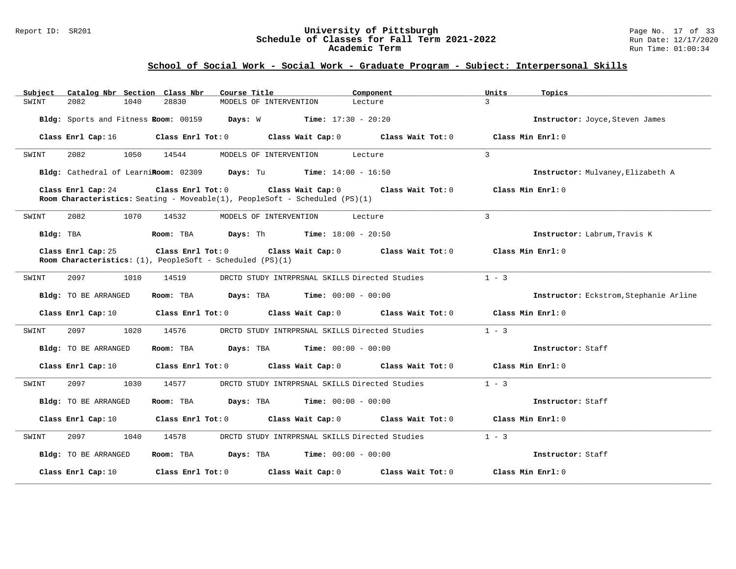### Report ID: SR201 **1988 Mage 19: SR201 University of Pittsburgh** Page No. 17 of 33<br>**Schedule of Classes for Fall Term 2021-2022** 19: Run Date: 12/17/2020 **Schedule of Classes for Fall Term 2021-2022** Run Date: 12/17/2020 **Academic Term** Run Time: 01:00:34

| Catalog Nbr Section Class Nbr<br>Subject | Course Title                                                                                                                                | Component<br>Units        | Topics                                 |
|------------------------------------------|---------------------------------------------------------------------------------------------------------------------------------------------|---------------------------|----------------------------------------|
| 2082<br>1040<br>SWINT                    | 28830<br>MODELS OF INTERVENTION                                                                                                             | $\mathcal{L}$<br>Lecture  |                                        |
|                                          | Bldg: Sports and Fitness Room: 00159 Days: W Time: 17:30 - 20:20                                                                            |                           | Instructor: Joyce, Steven James        |
| Class Enrl Cap: 16                       | Class Enrl Tot: $0$ Class Wait Cap: $0$ Class Wait Tot: $0$                                                                                 |                           | Class Min Enrl: 0                      |
| SWINT<br>2082<br>1050                    | 14544<br>MODELS OF INTERVENTION                                                                                                             | $\mathcal{L}$<br>Lecture  |                                        |
|                                          | <b>Bldg:</b> Cathedral of Learni <b>Room:</b> 02309 <b>Days:</b> Tu <b>Time:</b> $14:00 - 16:50$                                            |                           | Instructor: Mulvaney, Elizabeth A      |
| Class Enrl Cap: 24                       | Class Enrl Tot: 0 Class Wait Cap: 0 Class Wait Tot: 0<br><b>Room Characteristics:</b> Seating - Moveable(1), PeopleSoft - Scheduled (PS)(1) |                           | Class Min Enrl: 0                      |
| SWINT<br>2082<br>1070                    | 14532<br>MODELS OF INTERVENTION                                                                                                             | $\overline{3}$<br>Lecture |                                        |
| Bldg: TBA                                | <b>Room:</b> TBA <b>Days:</b> Th <b>Time:</b> $18:00 - 20:50$                                                                               |                           | Instructor: Labrum, Travis K           |
| Class Enrl Cap: 25                       | Class Enrl Tot: $0$ Class Wait Cap: $0$ Class Wait Tot: $0$<br>Room Characteristics: $(1)$ , PeopleSoft - Scheduled (PS) $(1)$              |                           | Class Min Enrl: 0                      |
| SWINT<br>2097<br>1010                    | DRCTD STUDY INTRPRSNAL SKILLS Directed Studies<br>14519                                                                                     | $1 - 3$                   |                                        |
| Bldg: TO BE ARRANGED                     | Room: TBA $Days:$ TBA $Time: 00:00 - 00:00$                                                                                                 |                           | Instructor: Eckstrom, Stephanie Arline |
|                                          | Class Enrl Cap: 10 $\qquad$ Class Enrl Tot: 0 $\qquad$ Class Wait Cap: 0 $\qquad$ Class Wait Tot: 0 $\qquad$ Class Min Enrl: 0              |                           |                                        |
| 2097<br>1020<br>SWINT                    | 14576<br>DRCTD STUDY INTRPRSNAL SKILLS Directed Studies                                                                                     | $1 - 3$                   |                                        |
| Bldg: TO BE ARRANGED                     | Room: TBA $Days:$ TBA $Time: 00:00 - 00:00$                                                                                                 |                           | Instructor: Staff                      |
| Class Enrl Cap: 10                       | Class Enrl Tot: $0$ Class Wait Cap: $0$ Class Wait Tot: $0$                                                                                 |                           | Class Min Enrl: 0                      |
| 2097<br>1030<br>SWINT                    | 14577<br>DRCTD STUDY INTRPRSNAL SKILLS Directed Studies                                                                                     | $1 - 3$                   |                                        |
| Bldg: TO BE ARRANGED                     | Room: TBA $Days:$ TBA $Time: 00:00 - 00:00$                                                                                                 |                           | Instructor: Staff                      |
| Class Enrl Cap: 10                       | Class Enrl Tot: $0$ Class Wait Cap: $0$ Class Wait Tot: $0$                                                                                 |                           | Class Min Enrl: 0                      |
| 2097<br>1040<br>SWINT                    | 14578<br>DRCTD STUDY INTRPRSNAL SKILLS Directed Studies                                                                                     | $1 - 3$                   |                                        |
| Bldg: TO BE ARRANGED                     | Room: TBA $Days:$ TBA $Time: 00:00 - 00:00$                                                                                                 |                           | Instructor: Staff                      |
| Class Enrl Cap: 10                       | Class Enrl Tot: $0$ Class Wait Cap: $0$ Class Wait Tot: $0$                                                                                 |                           | Class Min Enrl: 0                      |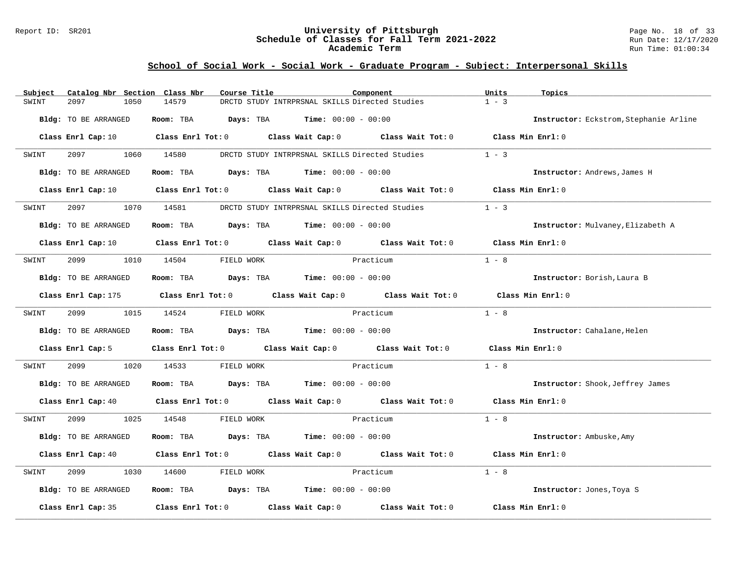#### Report ID: SR201 **University of Pittsburgh** Page No. 18 of 33 **Schedule of Classes for Fall Term 2021-2022** Run Date: 12/17/2020 **Academic Term** Run Time: 01:00:34

| Subject                                                                                                                                                                                                                                  | Catalog Nbr Section Class Nbr | Course Title        |                                                                                          | Component                                                                                                                      | Units             | Topics                                 |
|------------------------------------------------------------------------------------------------------------------------------------------------------------------------------------------------------------------------------------------|-------------------------------|---------------------|------------------------------------------------------------------------------------------|--------------------------------------------------------------------------------------------------------------------------------|-------------------|----------------------------------------|
| 2097<br>SWINT                                                                                                                                                                                                                            | 1050                          | 14579               | DRCTD STUDY INTRPRSNAL SKILLS Directed Studies                                           |                                                                                                                                | $1 - 3$           |                                        |
| Bldg: TO BE ARRANGED                                                                                                                                                                                                                     |                               | Room: TBA           | <b>Days:</b> TBA <b>Time:</b> $00:00 - 00:00$                                            |                                                                                                                                |                   | Instructor: Eckstrom, Stephanie Arline |
|                                                                                                                                                                                                                                          |                               |                     |                                                                                          | Class Enrl Cap: 10 $\qquad$ Class Enrl Tot: 0 $\qquad$ Class Wait Cap: 0 $\qquad$ Class Wait Tot: 0 $\qquad$ Class Min Enrl: 0 |                   |                                        |
| 2097<br>SWINT                                                                                                                                                                                                                            | 1060 14580                    |                     | DRCTD STUDY INTRPRSNAL SKILLS Directed Studies                                           |                                                                                                                                | $1 - 3$           |                                        |
| Bldg: TO BE ARRANGED                                                                                                                                                                                                                     |                               |                     | Room: TBA $Days:$ TBA $Time: 00:00 - 00:00$                                              |                                                                                                                                |                   | Instructor: Andrews, James H           |
|                                                                                                                                                                                                                                          |                               |                     |                                                                                          | Class Enrl Cap: 10 Class Enrl Tot: 0 Class Wait Cap: 0 Class Wait Tot: 0                                                       | Class Min Enrl: 0 |                                        |
| 2097<br>SWINT                                                                                                                                                                                                                            | 1070                          | 14581               | DRCTD STUDY INTRPRSNAL SKILLS Directed Studies                                           |                                                                                                                                | $1 - 3$           |                                        |
| Bldg: TO BE ARRANGED                                                                                                                                                                                                                     |                               |                     | Room: TBA $Days:$ TBA $Time: 00:00 - 00:00$                                              |                                                                                                                                |                   | Instructor: Mulvaney, Elizabeth A      |
|                                                                                                                                                                                                                                          |                               |                     |                                                                                          | Class Enrl Cap: 10 Class Enrl Tot: 0 Class Wait Cap: 0 Class Wait Tot: 0 Class Min Enrl: 0                                     |                   |                                        |
| 2099<br>SWINT                                                                                                                                                                                                                            | 1010 14504                    | FIELD WORK          | Practicum                                                                                |                                                                                                                                | $1 - 8$           |                                        |
| Bldg: TO BE ARRANGED                                                                                                                                                                                                                     |                               |                     | Room: TBA $\rule{1em}{0.15mm}$ Days: TBA Time: $00:00 - 00:00$                           |                                                                                                                                |                   | Instructor: Borish, Laura B            |
|                                                                                                                                                                                                                                          |                               |                     |                                                                                          | Class Enrl Cap: 175 $\qquad$ Class Enrl Tot: 0 $\qquad$ Class Wait Cap: 0 $\qquad$ Class Wait Tot: 0                           | Class Min Enrl: 0 |                                        |
| 2099 70<br>SWINT                                                                                                                                                                                                                         | 1015 14524                    | FIELD WORK          | Practicum                                                                                |                                                                                                                                | $1 - 8$           |                                        |
| Bldg: TO BE ARRANGED                                                                                                                                                                                                                     |                               |                     | Room: TBA $Days:$ TBA $Time: 00:00 - 00:00$                                              |                                                                                                                                |                   | Instructor: Cahalane, Helen            |
| Class Enrl Cap: 5                                                                                                                                                                                                                        |                               |                     | Class Enrl Tot: 0 Class Wait Cap: 0 Class Wait Tot: 0                                    |                                                                                                                                | Class Min Enrl: 0 |                                        |
| 2099<br>SWINT                                                                                                                                                                                                                            | 1020                          | 14533<br>FIELD WORK | Practicum                                                                                |                                                                                                                                | $1 - 8$           |                                        |
| Bldg: TO BE ARRANGED                                                                                                                                                                                                                     |                               |                     | Room: TBA $\rule{1em}{0.15mm}$ Days: TBA $\rule{1.15mm}]{0.15mm}$ Time: $0.000 - 0.0000$ |                                                                                                                                |                   | Instructor: Shook, Jeffrey James       |
|                                                                                                                                                                                                                                          |                               |                     |                                                                                          | Class Enrl Cap: 40 Class Enrl Tot: 0 Class Wait Cap: 0 Class Wait Tot: 0 Class Min Enrl: 0                                     |                   |                                        |
| 2099 — 2007 — 2008 — 2009 — 2009 — 2009 — 2009 — 2008 — 2010 — 2010 — 2010 — 2010 — 2010 — 2010 — 2010 — 2010 — 2010 — 2010 — 2010 — 2010 — 2010 — 2010 — 2010 — 2010 — 2010 — 2010 — 2010 — 2010 — 2010 — 2010 — 2010 — 2020 —<br>SWINT | 1025                          | 14548<br>FIELD WORK | <b>Practicum</b>                                                                         |                                                                                                                                | $1 - 8$           |                                        |
| Bldg: TO BE ARRANGED                                                                                                                                                                                                                     |                               |                     | Room: TBA $Days: TBA$ Time: $00:00 - 00:00$                                              |                                                                                                                                |                   | Instructor: Ambuske, Amy               |
|                                                                                                                                                                                                                                          |                               |                     | Class Enrl Cap: 40 (Class Enrl Tot: 0 (Class Wait Cap: 0 (Class Wait Tot: 0              |                                                                                                                                | Class Min Enrl: 0 |                                        |
| 2099<br>SWINT                                                                                                                                                                                                                            | 1030                          | 14600<br>FIELD WORK | <b>Practicum</b>                                                                         |                                                                                                                                | $1 - 8$           |                                        |
| Bldg: TO BE ARRANGED                                                                                                                                                                                                                     |                               |                     | Room: TBA $Days: TBA$ Time: $00:00 - 00:00$                                              |                                                                                                                                |                   | Instructor: Jones, Toya S              |
| Class Enrl Cap: 35                                                                                                                                                                                                                       |                               |                     |                                                                                          | Class Enrl Tot: $0$ Class Wait Cap: $0$ Class Wait Tot: $0$                                                                    | Class Min Enrl: 0 |                                        |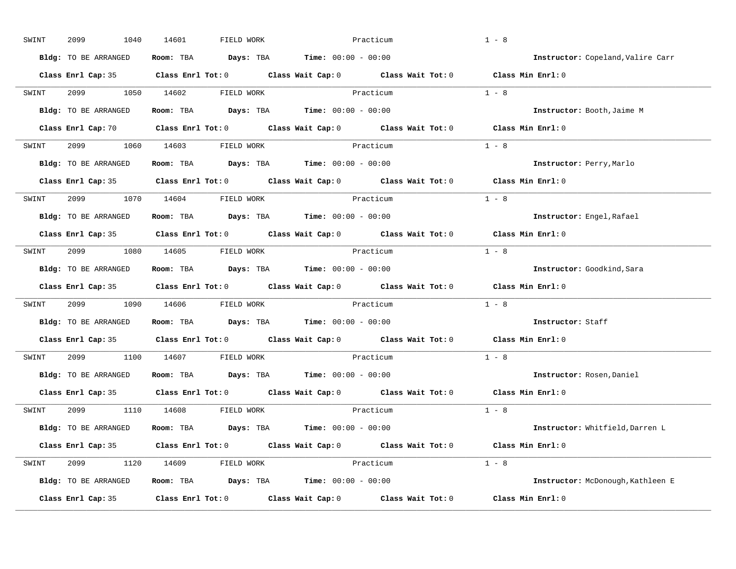| SWINT | 2099<br>1040         | 14601<br>FIELD WORK                                            | Practicum                                                                                                                      | $1 - 8$                           |
|-------|----------------------|----------------------------------------------------------------|--------------------------------------------------------------------------------------------------------------------------------|-----------------------------------|
|       | Bldg: TO BE ARRANGED | Room: TBA $Days:$ TBA $Time: 00:00 - 00:00$                    |                                                                                                                                | Instructor: Copeland, Valire Carr |
|       |                      |                                                                | Class Enrl Cap: 35 Class Enrl Tot: 0 Class Wait Cap: 0 Class Wait Tot: 0 Class Min Enrl: 0                                     |                                   |
| SWINT |                      | 2099 1050 14602 FIELD WORK                                     | Practicum                                                                                                                      | $1 - 8$                           |
|       | Bldg: TO BE ARRANGED | Room: TBA $Days:$ TBA Time: $00:00 - 00:00$                    |                                                                                                                                | Instructor: Booth, Jaime M        |
|       |                      |                                                                | Class Enrl Cap: 70 $\qquad$ Class Enrl Tot: 0 $\qquad$ Class Wait Cap: 0 $\qquad$ Class Wait Tot: 0 $\qquad$ Class Min Enrl: 0 |                                   |
|       |                      | SWINT 2099 1060 14603 FIELD WORK                               | Practicum                                                                                                                      | $1 - 8$                           |
|       | Bldg: TO BE ARRANGED | Room: TBA $\rule{1em}{0.15mm}$ Days: TBA Time: $00:00 - 00:00$ |                                                                                                                                | Instructor: Perry, Marlo          |
|       |                      |                                                                | Class Enrl Cap: 35 Class Enrl Tot: 0 Class Wait Cap: 0 Class Wait Tot: 0                                                       | Class Min Enrl: 0                 |
| SWINT |                      | 2099 1070 14604 FIELD WORK                                     | Practicum                                                                                                                      | $1 - 8$                           |
|       | Bldg: TO BE ARRANGED | Room: TBA $Days:$ TBA $Time: 00:00 - 00:00$                    |                                                                                                                                | Instructor: Engel, Rafael         |
|       |                      |                                                                | Class Enrl Cap: 35 Class Enrl Tot: 0 Class Wait Cap: 0 Class Wait Tot: 0                                                       | Class Min Enrl: 0                 |
| SWINT |                      | 2099 1080 14605 FIELD WORK                                     | Practicum                                                                                                                      | $1 - 8$                           |
|       | Bldg: TO BE ARRANGED | Room: TBA $Days:$ TBA $Time: 00:00 - 00:00$                    |                                                                                                                                | Instructor: Goodkind, Sara        |
|       |                      |                                                                | Class Enrl Cap: 35 Class Enrl Tot: 0 Class Wait Cap: 0 Class Wait Tot: 0                                                       | Class Min Enrl: 0                 |
| SWINT |                      | 2099 1090 14606 FIELD WORK                                     | Practicum                                                                                                                      | $1 - 8$                           |
|       | Bldg: TO BE ARRANGED | Room: TBA $Days:$ TBA $Time: 00:00 - 00:00$                    |                                                                                                                                | Instructor: Staff                 |
|       |                      |                                                                | Class Enrl Cap: 35 Class Enrl Tot: 0 Class Wait Cap: 0 Class Wait Tot: 0                                                       | Class Min Enrl: 0                 |
| SWINT |                      | 2099 1100 14607 FIELD WORK                                     | Practicum                                                                                                                      | $1 - 8$                           |
|       |                      | Bldg: TO BE ARRANGED Room: TBA Days: TBA Time: 00:00 - 00:00   |                                                                                                                                | Instructor: Rosen, Daniel         |
|       |                      |                                                                | Class Enrl Cap: 35 Class Enrl Tot: 0 Class Wait Cap: 0 Class Wait Tot: 0                                                       | Class Min Enrl: 0                 |
| SWINT |                      | 2099 1110 14608 FIELD WORK                                     | Practicum                                                                                                                      | $1 - 8$                           |
|       | Bldg: TO BE ARRANGED | Room: TBA $Days:$ TBA $Time: 00:00 - 00:00$                    |                                                                                                                                | Instructor: Whitfield,Darren L    |
|       |                      |                                                                | Class Enrl Cap: 35 Class Enrl Tot: 0 Class Wait Cap: 0 Class Wait Tot: 0 Class Min Enrl: 0                                     |                                   |
|       |                      | SWINT 2099 1120 14609 FIELD WORK                               | Practicum                                                                                                                      | $1 - 8$                           |
|       | Bldg: TO BE ARRANGED | Room: TBA $Days:$ TBA $Time: 00:00 - 00:00$                    |                                                                                                                                | Instructor: McDonough, Kathleen E |
|       | Class Enrl Cap: 35   |                                                                | Class Enrl Tot: $0$ Class Wait Cap: $0$ Class Wait Tot: $0$ Class Min Enrl: $0$                                                |                                   |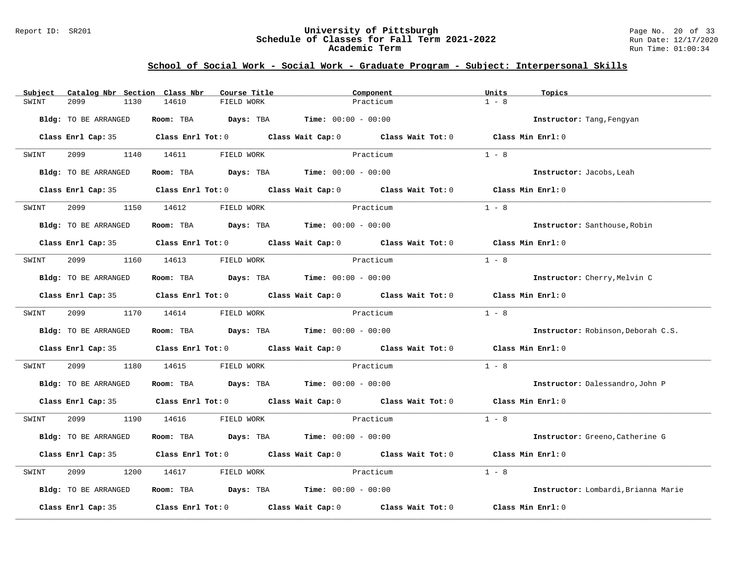#### Report ID: SR201 **University of Pittsburgh** Page No. 20 of 33 **Schedule of Classes for Fall Term 2021-2022** Run Date: 12/17/2020 **Academic Term** Run Time: 01:00:34

| Subject              |      | Catalog Nbr Section Class Nbr | Course Title | Component                                   |                                                                                            | Units              | Topics                              |
|----------------------|------|-------------------------------|--------------|---------------------------------------------|--------------------------------------------------------------------------------------------|--------------------|-------------------------------------|
| 2099<br>SWINT        | 1130 | 14610                         | FIELD WORK   | Practicum                                   |                                                                                            | $1 - 8$            |                                     |
| Bldg: TO BE ARRANGED |      |                               |              | Room: TBA $Days:$ TBA $Time: 00:00 - 00:00$ |                                                                                            |                    | Instructor: Tang, Fengyan           |
|                      |      |                               |              |                                             | Class Enrl Cap: 35 Class Enrl Tot: 0 Class Wait Cap: 0 Class Wait Tot: 0 Class Min Enrl: 0 |                    |                                     |
| SWINT                |      | 2099 1140 14611 FIELD WORK    |              | Practicum                                   |                                                                                            | $1 - 8$            |                                     |
| Bldg: TO BE ARRANGED |      |                               |              | Room: TBA $Days:$ TBA $Time: 00:00 - 00:00$ |                                                                                            |                    | Instructor: Jacobs, Leah            |
|                      |      |                               |              |                                             | Class Enrl Cap: 35 Class Enrl Tot: 0 Class Wait Cap: 0 Class Wait Tot: 0                   | Class Min Enrl: 0  |                                     |
| 2099<br>SWINT        |      | 1150 14612                    | FIELD WORK   | Practicum                                   |                                                                                            | $1 - 8$            |                                     |
| Bldg: TO BE ARRANGED |      |                               |              | Room: TBA $Days:$ TBA $Time: 00:00 - 00:00$ |                                                                                            |                    | Instructor: Santhouse, Robin        |
|                      |      |                               |              |                                             | Class Enrl Cap: 35 Class Enrl Tot: 0 Class Wait Cap: 0 Class Wait Tot: 0                   | Class Min $Enr1:0$ |                                     |
| SWINT                |      | 2099 1160 14613 FIELD WORK    |              | Practicum                                   |                                                                                            | $1 - 8$            |                                     |
| Bldg: TO BE ARRANGED |      |                               |              | Room: TBA $Days:$ TBA $Time: 00:00 - 00:00$ |                                                                                            |                    | Instructor: Cherry, Melvin C        |
|                      |      |                               |              |                                             | Class Enrl Cap: 35 Class Enrl Tot: 0 Class Wait Cap: 0 Class Wait Tot: 0                   | Class Min Enrl: 0  |                                     |
| SWINT                |      | 2099 1170 14614               | FIELD WORK   | Practicum                                   |                                                                                            | $1 - 8$            |                                     |
| Bldg: TO BE ARRANGED |      |                               |              | Room: TBA $Days: TBA$ Time: $00:00 - 00:00$ |                                                                                            |                    | Instructor: Robinson, Deborah C.S.  |
|                      |      |                               |              |                                             | Class Enrl Cap: 35 Class Enrl Tot: 0 Class Wait Cap: 0 Class Wait Tot: 0                   | Class Min Enrl: 0  |                                     |
| SWINT<br>2099        | 1180 | 14615                         | FIELD WORK   | Practicum                                   |                                                                                            | $1 - 8$            |                                     |
| Bldg: TO BE ARRANGED |      |                               |              | Room: TBA $Days:$ TBA $Time: 00:00 - 00:00$ |                                                                                            |                    | Instructor: Dalessandro, John P     |
|                      |      |                               |              |                                             | Class Enrl Cap: 35 Class Enrl Tot: 0 Class Wait Cap: 0 Class Wait Tot: 0 Class Min Enrl: 0 |                    |                                     |
| SWINT                |      | 2099 1190 14616 FIELD WORK    |              | <b>Practicum</b>                            |                                                                                            | $1 - 8$            |                                     |
| Bldg: TO BE ARRANGED |      |                               |              | Room: TBA $Days:$ TBA $Time: 00:00 - 00:00$ |                                                                                            |                    | Instructor: Greeno, Catherine G     |
|                      |      |                               |              |                                             | Class Enrl Cap: 35 Class Enrl Tot: 0 Class Wait Cap: 0 Class Wait Tot: 0                   | Class Min Enrl: 0  |                                     |
| SWINT<br>2099        | 1200 | 14617                         | FIELD WORK   | <b>Example 21 Practicum</b>                 |                                                                                            | $1 - 8$            |                                     |
| Bldg: TO BE ARRANGED |      |                               |              | Room: TBA $Days:$ TBA $Time: 00:00 - 00:00$ |                                                                                            |                    | Instructor: Lombardi, Brianna Marie |
| Class Enrl Cap: 35   |      |                               |              |                                             | Class Enrl Tot: $0$ Class Wait Cap: $0$ Class Wait Tot: $0$                                | Class Min Enrl: 0  |                                     |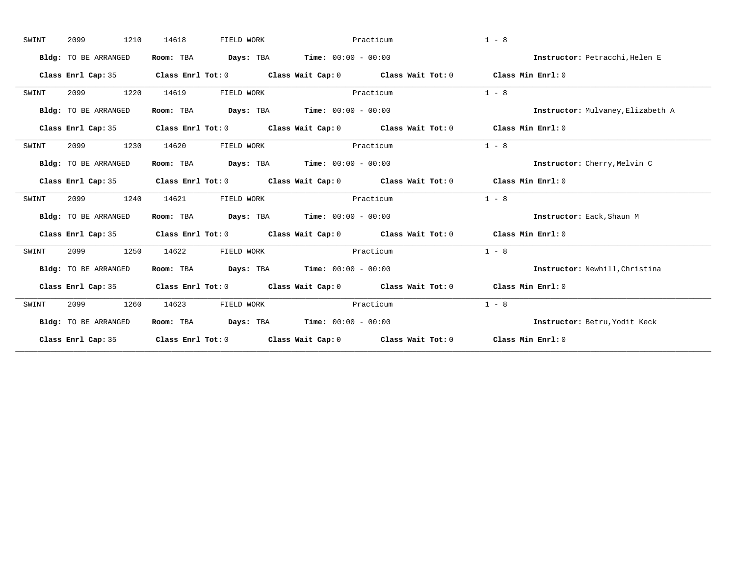| SWINT | 1210<br>2099         | 14618                   | FIELD WORK |                              | Practicum                                             | $1 - 8$                           |
|-------|----------------------|-------------------------|------------|------------------------------|-------------------------------------------------------|-----------------------------------|
|       | Bldg: TO BE ARRANGED | Room: TBA               | Days: TBA  | Time: $00:00 - 00:00$        |                                                       | Instructor: Petracchi, Helen E    |
|       | Class Enrl Cap: 35   | Class Enrl Tot: 0       |            | Class Wait Cap: 0            | Class Wait Tot: 0                                     | Class Min Enrl: 0                 |
| SWINT | 2099<br>1220         | 14619                   | FIELD WORK |                              | Practicum                                             | $1 - 8$                           |
|       | Bldg: TO BE ARRANGED | Room: TBA               | Days: TBA  | <b>Time:</b> $00:00 - 00:00$ |                                                       | Instructor: Mulvaney, Elizabeth A |
|       | Class Enrl Cap: 35   | $Class$ $Enr1$ $Tot: 0$ |            |                              | Class Wait Cap: 0 Class Wait Tot: 0                   | Class Min Enrl: 0                 |
| SWINT | 1230<br>2099         | 14620                   | FIELD WORK |                              | Practicum                                             | $1 - 8$                           |
|       | Bldg: TO BE ARRANGED | Room: TBA               | Days: TBA  | $Time: 00:00 - 00:00$        |                                                       | Instructor: Cherry, Melvin C      |
|       | Class Enrl Cap: 35   |                         |            |                              | Class Enrl Tot: 0 Class Wait Cap: 0 Class Wait Tot: 0 | Class Min Enrl: 0                 |
| SWINT | 2099<br>1240         | 14621                   | FIELD WORK |                              | Practicum                                             | $1 - 8$                           |
|       | Bldg: TO BE ARRANGED | Room: TBA               | Days: TBA  | <b>Time:</b> $00:00 - 00:00$ |                                                       | Instructor: Eack, Shaun M         |
|       | Class Enrl Cap: 35   | Class Enrl Tot: 0       |            |                              | Class Wait Cap: 0 Class Wait Tot: 0                   | Class Min Enrl: 0                 |
| SWINT | 2099<br>1250         | 14622                   | FIELD WORK |                              | Practicum                                             | $1 - 8$                           |
|       | Bldg: TO BE ARRANGED | Room: TBA               | Days: TBA  | <b>Time:</b> $00:00 - 00:00$ |                                                       | Instructor: Newhill, Christina    |
|       | Class Enrl Cap: 35   | $Class$ $Enrl$ $Tot: 0$ |            | Class Wait Cap: 0            | Class Wait Tot: 0                                     | Class Min Enrl: 0                 |
| SWINT | 2099<br>1260         | 14623                   | FIELD WORK |                              | Practicum                                             | $1 - 8$                           |
|       | Bldg: TO BE ARRANGED | Room: TBA               | Days: TBA  | <b>Time:</b> $00:00 - 00:00$ |                                                       | Instructor: Betru, Yodit Keck     |
|       | Class Enrl Cap: 35   | $Class$ $Enr1$ $Tot: 0$ |            |                              | Class Wait Cap: 0 Class Wait Tot: 0                   | Class Min Enrl: 0                 |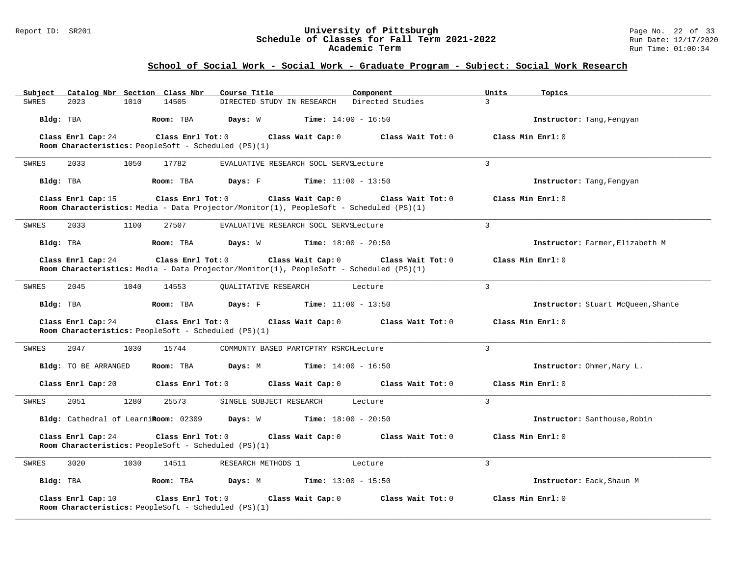### Report ID: SR201 **University of Pittsburgh** Page No. 22 of 33 **Schedule of Classes for Fall Term 2021-2022** Run Date: 12/17/2020 **Academic Term** Run Time: 01:00:34

# **School of Social Work - Social Work - Graduate Program - Subject: Social Work Research**

| Catalog Nbr Section Class Nbr<br>Subject                                   | Course Title                                                                                                                   | Component<br>Units                      | Topics                             |
|----------------------------------------------------------------------------|--------------------------------------------------------------------------------------------------------------------------------|-----------------------------------------|------------------------------------|
| SWRES<br>2023<br>1010                                                      | 14505<br>DIRECTED STUDY IN RESEARCH                                                                                            | $\mathcal{L}$<br>Directed Studies       |                                    |
| Bldg: TBA                                                                  | Room: TBA<br>Days: W<br><b>Time:</b> $14:00 - 16:50$                                                                           |                                         | Instructor: Tang, Fengyan          |
| Class Enrl Cap: 24                                                         | Class Enrl Tot: 0<br>Class Wait Cap: 0                                                                                         | Class Wait Tot: 0                       | Class Min $Enrl: 0$                |
| Room Characteristics: PeopleSoft - Scheduled (PS)(1)                       |                                                                                                                                |                                         |                                    |
| 2033<br>1050<br>SWRES                                                      | 17782<br>EVALUATIVE RESEARCH SOCL SERVSLecture                                                                                 | 3                                       |                                    |
| Bldg: TBA                                                                  | Room: TBA<br>$\texttt{Davis:}$ F<br><b>Time:</b> $11:00 - 13:50$                                                               |                                         | Instructor: Tang, Fengyan          |
| Class Enrl Cap: 15                                                         | Class Enrl Tot: 0 Class Wait Cap: 0<br>Room Characteristics: Media - Data Projector/Monitor(1), PeopleSoft - Scheduled (PS)(1) | Class Wait Tot: 0                       | Class Min Enrl: 0                  |
| 2033<br>1100<br>SWRES                                                      | 27507<br>EVALUATIVE RESEARCH SOCL SERVSLecture                                                                                 | 3                                       |                                    |
| Bldg: TBA                                                                  | <b>Days:</b> W <b>Time:</b> $18:00 - 20:50$<br>Room: TBA                                                                       |                                         | Instructor: Farmer, Elizabeth M    |
| Class Enrl Cap: 24                                                         | Class Enrl Tot: 0 Class Wait Cap: 0<br>Room Characteristics: Media - Data Projector/Monitor(1), PeopleSoft - Scheduled (PS)(1) | Class Wait Tot: 0                       | Class Min Enrl: 0                  |
| 2045<br>1040<br>SWRES                                                      | 14553<br><b>OUALITATIVE RESEARCH</b>                                                                                           | $\mathbf{3}$<br>Lecture                 |                                    |
| Bldg: TBA                                                                  | Room: TBA<br><b>Days:</b> F Time: $11:00 - 13:50$                                                                              |                                         | Instructor: Stuart McQueen, Shante |
| Class Enrl Cap: 24<br>Room Characteristics: PeopleSoft - Scheduled (PS)(1) | Class Enrl Tot: 0                                                                                                              | Class Wait Cap: 0 Class Wait Tot: 0     | Class Min Enrl: 0                  |
| 2047<br>1030<br>SWRES                                                      | 15744<br>COMMUNTY BASED PARTCPTRY RSRCHLecture                                                                                 | 3                                       |                                    |
| Bldg: TO BE ARRANGED                                                       | Room: TBA<br><b>Days:</b> M <b>Time:</b> $14:00 - 16:50$                                                                       |                                         | Instructor: Ohmer, Mary L.         |
| Class Enrl Cap: 20                                                         | Class Enrl Tot: 0 Class Wait Cap: 0 Class Wait Tot: 0                                                                          |                                         | Class Min Enrl: 0                  |
| 2051<br>1280<br>SWRES                                                      | 25573<br>SINGLE SUBJECT RESEARCH                                                                                               | $\mathcal{E}$<br>Lecture                |                                    |
|                                                                            | Bldg: Cathedral of Learni <b>Room</b> : 02309 Days: W<br><b>Time:</b> $18:00 - 20:50$                                          |                                         | Instructor: Santhouse, Robin       |
| Class Enrl Cap: 24                                                         | Class Enrl Tot: 0                                                                                                              | Class Wait Cap: $0$ Class Wait Tot: $0$ | Class Min Enrl: 0                  |
| Room Characteristics: PeopleSoft - Scheduled (PS)(1)                       |                                                                                                                                |                                         |                                    |
| 3020<br>1030<br>SWRES                                                      | 14511<br>RESEARCH METHODS 1                                                                                                    | $\overline{3}$<br>Lecture               |                                    |
| Bldg: TBA<br>Room: TBA                                                     | <b>Days:</b> M <b>Time:</b> $13:00 - 15:50$                                                                                    |                                         | Instructor: Eack, Shaun M          |
| Class Enrl Cap: 10<br>Room Characteristics: PeopleSoft - Scheduled (PS)(1) | Class Enrl Tot: $0$<br>Class Wait Cap: 0                                                                                       | Class Wait Tot: 0                       | Class Min Enrl: 0                  |

**\_\_\_\_\_\_\_\_\_\_\_\_\_\_\_\_\_\_\_\_\_\_\_\_\_\_\_\_\_\_\_\_\_\_\_\_\_\_\_\_\_\_\_\_\_\_\_\_\_\_\_\_\_\_\_\_\_\_\_\_\_\_\_\_\_\_\_\_\_\_\_\_\_\_\_\_\_\_\_\_\_\_\_\_\_\_\_\_\_\_\_\_\_\_\_\_\_\_\_\_\_\_\_\_\_\_\_\_\_\_\_\_\_\_\_\_\_\_\_\_\_\_\_\_\_\_\_\_\_\_\_\_\_\_\_\_\_\_\_\_\_\_\_\_\_\_\_\_\_\_\_\_\_\_\_\_**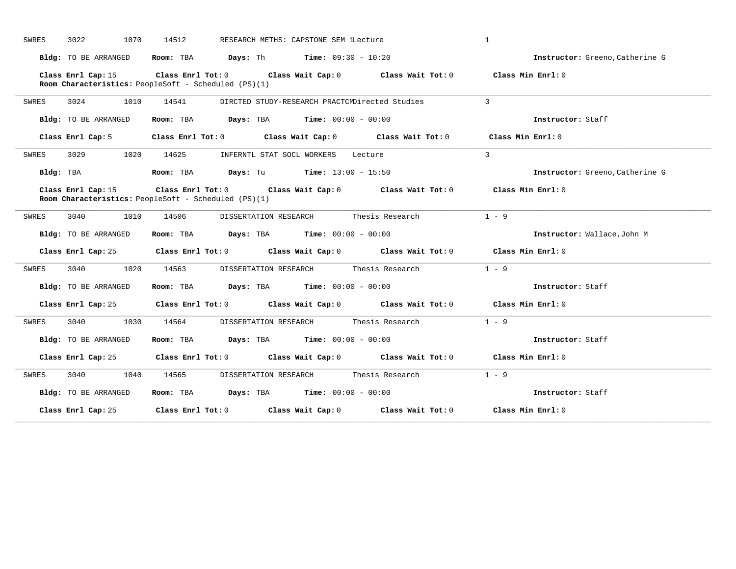|           | Bldg: TO BE ARRANGED | Room: TBA                                                                                  | <b>Days:</b> Th <b>Time:</b> $09:30 - 10:20$   |                                               | Instructor: Greeno, Catherine G |
|-----------|----------------------|--------------------------------------------------------------------------------------------|------------------------------------------------|-----------------------------------------------|---------------------------------|
|           | Class Enrl Cap: 15   | Class Enrl Tot: 0<br>Room Characteristics: PeopleSoft - Scheduled (PS)(1)                  |                                                | Class Wait Cap: $0$ Class Wait Tot: $0$       | Class Min $Err1:0$              |
| SWRES     | 3024<br>1010         | 14541                                                                                      | DIRCTED STUDY-RESEARCH PRACTCMDirected Studies |                                               | $\mathbf{3}$                    |
|           | Bldg: TO BE ARRANGED | Room: TBA $Days: TBA$ Time: $00:00 - 00:00$                                                |                                                |                                               | Instructor: Staff               |
|           | Class Enrl Cap: 5    | Class Enrl Tot: 0 Class Wait Cap: 0                                                        |                                                | Class Wait Tot: 0                             | Class Min Enrl: 0               |
| SWRES     | 3029<br>1020         | 14625                                                                                      | INFERNTL STAT SOCL WORKERS                     | Lecture                                       | $\overline{3}$                  |
| Bldg: TBA |                      | <b>Room:</b> TBA <b>Days:</b> Tu <b>Time:</b> $13:00 - 15:50$                              |                                                |                                               | Instructor: Greeno, Catherine G |
|           | Class Enrl Cap: 15   | $Class$ $Enrl$ $Tot: 0$<br>Room Characteristics: PeopleSoft - Scheduled (PS)(1)            |                                                | Class Wait Cap: 0 Class Wait Tot: 0           | Class Min Enrl: 0               |
| SWRES     | 3040<br>1010         | 14506                                                                                      | DISSERTATION RESEARCH Thesis Research          |                                               | $1 - 9$                         |
|           |                      |                                                                                            | <b>Days:</b> TBA <b>Time:</b> $00:00 - 00:00$  |                                               | Instructor: Wallace, John M     |
|           | Bldg: TO BE ARRANGED | Room: TBA                                                                                  |                                                |                                               |                                 |
|           | Class Enrl Cap: 25   | Class Enrl Tot: $0$ Class Wait Cap: $0$ Class Wait Tot: $0$ Class Min Enrl: $0$            |                                                |                                               |                                 |
| SWRES     | 3040<br>1020         | 14563                                                                                      | DISSERTATION RESEARCH Thesis Research          |                                               | $1 - 9$                         |
|           | Bldg: TO BE ARRANGED | Room: TBA                                                                                  |                                                | <b>Days:</b> TBA <b>Time:</b> $00:00 - 00:00$ | Instructor: Staff               |
|           |                      | Class Enrl Cap: 25 Class Enrl Tot: 0 Class Wait Cap: 0 Class Wait Tot: 0 Class Min Enrl: 0 |                                                |                                               |                                 |
| SWRES     | 3040<br>1030         | 14564                                                                                      | DISSERTATION RESEARCH Thesis Research          |                                               | $1 - 9$                         |
|           | Bldg: TO BE ARRANGED | Room: TBA                                                                                  | <b>Days:</b> TBA <b>Time:</b> $00:00 - 00:00$  |                                               | Instructor: Staff               |
|           | Class Enrl Cap: 25   | Class Enrl Tot: $0$ Class Wait Cap: $0$ Class Wait Tot: $0$ Class Min Enrl: $0$            |                                                |                                               |                                 |
| SWRES     | 3040<br>1040         | 14565                                                                                      | DISSERTATION RESEARCH Thesis Research          |                                               | $1 - 9$                         |
|           | Bldg: TO BE ARRANGED | Room: TBA $Days:$ TBA $Time: 00:00 - 00:00$                                                |                                                |                                               | Instructor: Staff               |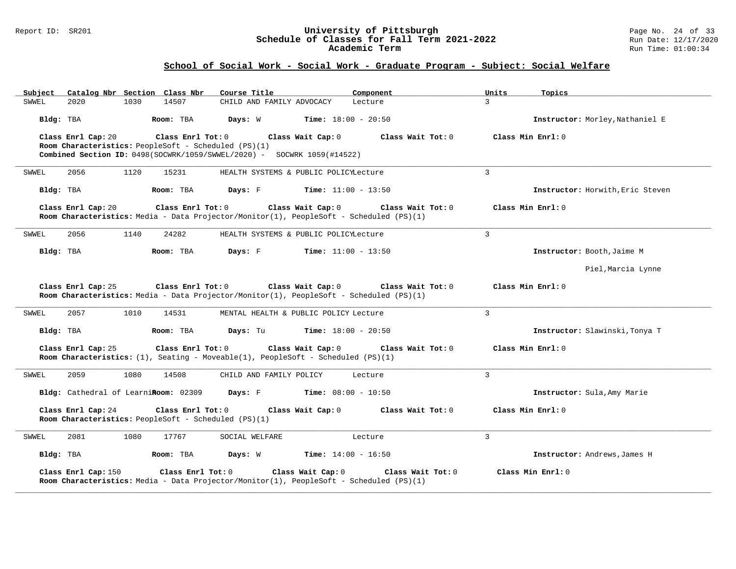#### Report ID: SR201 **University of Pittsburgh** Page No. 24 of 33 **Schedule of Classes for Fall Term 2021-2022** Run Date: 12/17/2020 **Academic Term** Run Time: 01:00:34

| Subject              | Catalog Nbr Section Class Nbr                                             | Course Title                                                                                                 | Component                    | Units<br>Topics                  |
|----------------------|---------------------------------------------------------------------------|--------------------------------------------------------------------------------------------------------------|------------------------------|----------------------------------|
| <b>SWWEL</b><br>2020 | 1030<br>14507                                                             | CHILD AND FAMILY ADVOCACY                                                                                    | Lecture                      | $\mathcal{L}$                    |
| Bldg: TBA            | Room: TBA                                                                 | Days: W                                                                                                      | <b>Time:</b> $18:00 - 20:50$ | Instructor: Morley, Nathaniel E  |
| Class Enrl Cap: 20   | Class Enrl Tot: 0<br>Room Characteristics: PeopleSoft - Scheduled (PS)(1) | Class Wait Cap: 0<br>Combined Section ID: 0498(SOCWRK/1059/SWWEL/2020) - SOCWRK 1059(#14522)                 | Class Wait Tot: 0            | Class Min Enrl: 0                |
| SWWEL<br>2056        | 1120<br>15231                                                             | HEALTH SYSTEMS & PUBLIC POLICYLecture                                                                        |                              | 3                                |
| Bldg: TBA            | Room: TBA                                                                 | Days: F                                                                                                      | <b>Time:</b> $11:00 - 13:50$ | Instructor: Horwith, Eric Steven |
| Class Enrl Cap: 20   | Class Enrl Tot: 0                                                         | Class Wait Cap: 0<br>Room Characteristics: Media - Data Projector/Monitor(1), PeopleSoft - Scheduled (PS)(1) | Class Wait $Tot: 0$          | Class Min Enrl: 0                |
| 2056<br>SWWEL        | 1140<br>24282                                                             | HEALTH SYSTEMS & PUBLIC POLICYLecture                                                                        |                              | 3                                |
| Bldg: TBA            | Room: TBA                                                                 | Days: F                                                                                                      | <b>Time:</b> $11:00 - 13:50$ | Instructor: Booth, Jaime M       |
|                      |                                                                           |                                                                                                              |                              | Piel, Marcia Lynne               |
| Class Enrl Cap: 25   | Class Enrl Tot: 0                                                         | Class Wait Cap: 0<br>Room Characteristics: Media - Data Projector/Monitor(1), PeopleSoft - Scheduled (PS)(1) | Class Wait Tot: 0            | Class Min Enrl: 0                |
| 2057<br>SWWEL        | 1010<br>14531                                                             | MENTAL HEALTH & PUBLIC POLICY Lecture                                                                        |                              | $\overline{3}$                   |
| Bldg: TBA            | Room: TBA                                                                 | Days: Tu                                                                                                     | <b>Time:</b> $18:00 - 20:50$ | Instructor: Slawinski, Tonya T   |
| Class Enrl Cap: 25   | Class Enrl Tot: 0                                                         | Class Wait Cap: 0<br>Room Characteristics: $(1)$ , Seating - Moveable(1), PeopleSoft - Scheduled (PS)(1)     | Class Wait Tot: 0            | Class Min Enrl: 0                |
| 2059<br>SWWEL        | 1080<br>14508                                                             | CHILD AND FAMILY POLICY                                                                                      | Lecture                      | 3                                |
|                      | Bldg: Cathedral of Learni Room: 02309                                     | Days: F                                                                                                      | <b>Time:</b> $08:00 - 10:50$ | Instructor: Sula, Amy Marie      |
| Class Enrl Cap: 24   | Class Enrl Tot: 0<br>Room Characteristics: PeopleSoft - Scheduled (PS)(1) | Class Wait Cap: 0                                                                                            | Class Wait Tot: 0            | Class Min Enrl: 0                |
| 2081<br>SWWEL        | 1080<br>17767                                                             | SOCIAL WELFARE                                                                                               | Lecture                      | 3                                |
| Bldg: TBA            | Room: TBA                                                                 | Days: W                                                                                                      | <b>Time:</b> $14:00 - 16:50$ | Instructor: Andrews, James H     |
| Class Enrl Cap: 150  | Class Enrl Tot: 0                                                         | Class Wait Cap: 0<br>Room Characteristics: Media - Data Projector/Monitor(1), PeopleSoft - Scheduled (PS)(1) | Class Wait Tot: 0            | Class Min Enrl: 0                |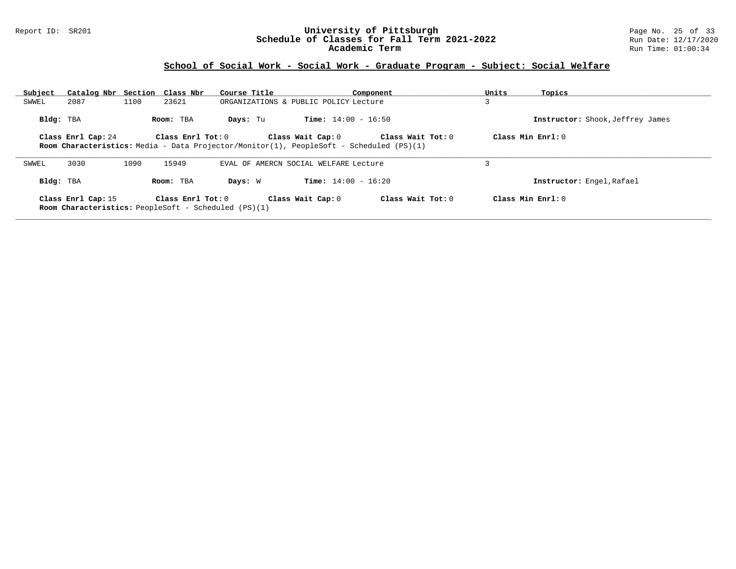### Report ID: SR201 **University of Pittsburgh** Page No. 25 of 33 **Schedule of Classes for Fall Term 2021-2022** Run Date: 12/17/2020 **Academic Term** Run Time: 01:00:34

| Subject   | Catalog Nbr Section Class Nbr                                                                                                                                                                       |      |                         | Course Title                                                |                                       | Component         | Units<br>3 | Topics                           |  |
|-----------|-----------------------------------------------------------------------------------------------------------------------------------------------------------------------------------------------------|------|-------------------------|-------------------------------------------------------------|---------------------------------------|-------------------|------------|----------------------------------|--|
| SWWEL     | 2087                                                                                                                                                                                                | 1100 | 23621                   |                                                             | ORGANIZATIONS & PUBLIC POLICY Lecture |                   |            |                                  |  |
| Bldg: TBA |                                                                                                                                                                                                     |      | Room: TBA               | Days: Tu                                                    | <b>Time:</b> $14:00 - 16:50$          |                   |            | Instructor: Shook, Jeffrey James |  |
|           | Class Min $Enrl: 0$<br>Class Enrl Cap: 24<br>Class Enrl Tot: 0<br>Class Wait Tot: 0<br>Class Wait Cap: 0<br>Room Characteristics: Media - Data Projector/Monitor(1), PeopleSoft - Scheduled (PS)(1) |      |                         |                                                             |                                       |                   |            |                                  |  |
| SWWEL     | 3030                                                                                                                                                                                                | 1090 | 15949                   |                                                             | EVAL OF AMERCN SOCIAL WELFARE Lecture |                   |            |                                  |  |
| Bldg: TBA |                                                                                                                                                                                                     |      | Room: TBA               | Days: W                                                     | <b>Time:</b> $14:00 - 16:20$          |                   |            | Instructor: Engel, Rafael        |  |
|           | Class Enrl Cap: 15                                                                                                                                                                                  |      | $Class$ $Enr1$ $Tot: 0$ | <b>Room Characteristics:</b> PeopleSoft - Scheduled (PS)(1) | Class Wait Cap: 0                     | Class Wait Tot: 0 |            | Class Min Enrl: 0                |  |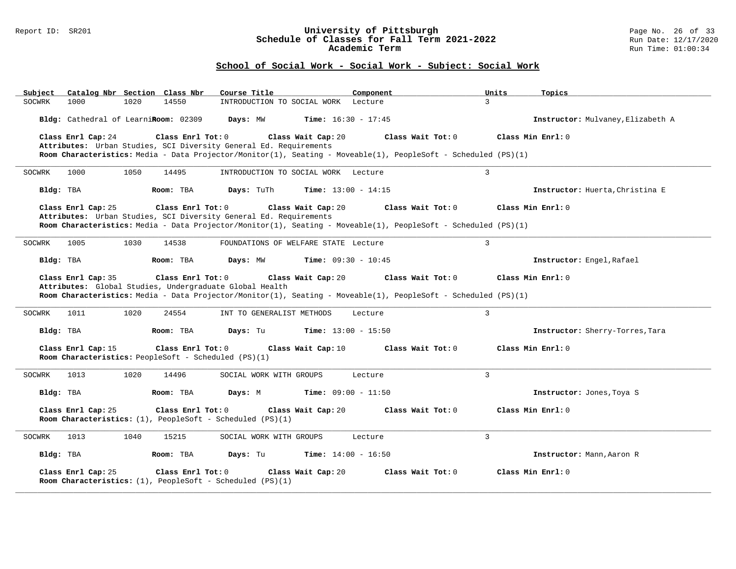#### Report ID: SR201 **University of Pittsburgh** Page No. 26 of 33 **Schedule of Classes for Fall Term 2021-2022** Run Date: 12/17/2020 **Academic Term** Run Time: 01:00:34

### **School of Social Work - Social Work - Subject: Social Work**

| Subject            | Catalog Nbr Section Class Nbr                                                        | Course Title                                                                            | Component                                                                                                                           | Units<br>Topics                   |
|--------------------|--------------------------------------------------------------------------------------|-----------------------------------------------------------------------------------------|-------------------------------------------------------------------------------------------------------------------------------------|-----------------------------------|
| SOCWRK<br>1000     | 1020<br>14550                                                                        | INTRODUCTION TO SOCIAL WORK Lecture                                                     |                                                                                                                                     | 3                                 |
|                    | Bldg: Cathedral of LearniRoom: 02309                                                 | Days: MW                                                                                | <b>Time:</b> $16:30 - 17:45$                                                                                                        | Instructor: Mulvaney, Elizabeth A |
| Class Enrl Cap: 24 | Class Enrl Tot: 0                                                                    | Class Wait Cap: 20                                                                      | Class Wait Tot: 0                                                                                                                   | Class Min Enrl: 0                 |
|                    |                                                                                      | Attributes: Urban Studies, SCI Diversity General Ed. Requirements                       |                                                                                                                                     |                                   |
|                    |                                                                                      |                                                                                         | Room Characteristics: Media - Data Projector/Monitor(1), Seating - Moveable(1), PeopleSoft - Scheduled (PS)(1)                      |                                   |
| 1000<br>SOCWRK     | 1050<br>14495                                                                        | INTRODUCTION TO SOCIAL WORK Lecture                                                     |                                                                                                                                     | $\overline{3}$                    |
| Bldg: TBA          | Room: TBA                                                                            | Days: TuTh                                                                              | <b>Time:</b> $13:00 - 14:15$                                                                                                        | Instructor: Huerta, Christina E   |
| Class Enrl Cap: 25 | Class Enrl Tot: 0                                                                    | Class Wait Cap: 20<br>Attributes: Urban Studies, SCI Diversity General Ed. Requirements | Class Wait Tot: 0<br>Room Characteristics: Media - Data Projector/Monitor(1), Seating - Moveable(1), PeopleSoft - Scheduled (PS)(1) | Class Min Enrl: 0                 |
| SOCWRK<br>1005     | 1030<br>14538                                                                        | FOUNDATIONS OF WELFARE STATE Lecture                                                    |                                                                                                                                     | $\overline{3}$                    |
| Bldg: TBA          | Room: TBA                                                                            | Days: MW                                                                                | <b>Time:</b> $09:30 - 10:45$                                                                                                        | Instructor: Engel, Rafael         |
| Class Enrl Cap: 35 | Class Enrl Tot: 0<br>Attributes: Global Studies, Undergraduate Global Health         | Class Wait Cap: 20                                                                      | Class Wait Tot: 0<br>Room Characteristics: Media - Data Projector/Monitor(1), Seating - Moveable(1), PeopleSoft - Scheduled (PS)(1) | Class Min $Enr1: 0$               |
| SOCWRK<br>1011     | 1020<br>24554                                                                        | INT TO GENERALIST METHODS                                                               | Lecture                                                                                                                             | $\overline{3}$                    |
| Bldg: TBA          | Room: TBA                                                                            | Days: Tu                                                                                | <b>Time:</b> $13:00 - 15:50$                                                                                                        | Instructor: Sherry-Torres, Tara   |
| Class Enrl Cap: 15 | Class Enrl Tot: 0<br>Room Characteristics: PeopleSoft - Scheduled (PS)(1)            | Class Wait Cap: 10                                                                      | Class Wait Tot: 0                                                                                                                   | Class Min Enrl: 0                 |
| 1013<br>SOCWRK     | 1020<br>14496                                                                        | SOCIAL WORK WITH GROUPS                                                                 | Lecture                                                                                                                             | 3                                 |
| Bldg: TBA          | Room: TBA                                                                            | Days: M                                                                                 | <b>Time:</b> $09:00 - 11:50$                                                                                                        | Instructor: Jones, Toya S         |
| Class Enrl Cap: 25 | Class Enrl Tot: 0<br>Room Characteristics: $(1)$ , PeopleSoft - Scheduled (PS) $(1)$ | Class Wait Cap: 20                                                                      | Class Wait Tot: 0                                                                                                                   | Class Min Enrl: 0                 |
| 1013<br>SOCWRK     | 1040<br>15215                                                                        | SOCIAL WORK WITH GROUPS                                                                 | Lecture                                                                                                                             | 3                                 |
| Bldg: TBA          | Room: TBA                                                                            | Days: Tu                                                                                | <b>Time:</b> $14:00 - 16:50$                                                                                                        | Instructor: Mann, Aaron R         |
| Class Enrl Cap: 25 | Class Enrl Tot: 0<br>Room Characteristics: $(1)$ , PeopleSoft - Scheduled $(PS)(1)$  | Class Wait Cap: 20                                                                      | Class Wait Tot: 0                                                                                                                   | Class Min Enrl: 0                 |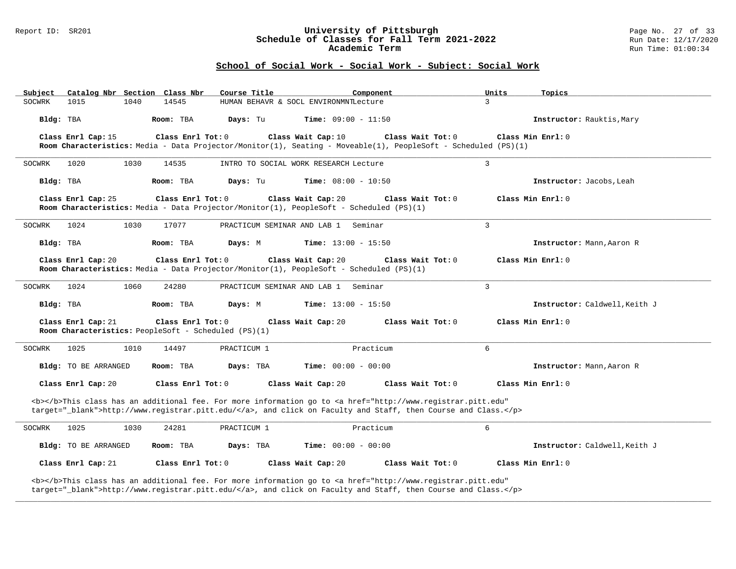#### Report ID: SR201 **University of Pittsburgh** Page No. 27 of 33 **Schedule of Classes for Fall Term 2021-2022** Run Date: 12/17/2020 **Academic Term** Run Time: 01:00:34

### **School of Social Work - Social Work - Subject: Social Work**

| Subject   |                      | Catalog Nbr Section Class Nbr                                             | Course Title                                                                            |                                       | Component                                                                                                                                                                                                                          | Units          | Topics                        |
|-----------|----------------------|---------------------------------------------------------------------------|-----------------------------------------------------------------------------------------|---------------------------------------|------------------------------------------------------------------------------------------------------------------------------------------------------------------------------------------------------------------------------------|----------------|-------------------------------|
| SOCWRK    | 1015                 | 14545<br>1040                                                             |                                                                                         | HUMAN BEHAVR & SOCL ENVIRONMNTLecture |                                                                                                                                                                                                                                    | $\mathbf{R}$   |                               |
| Bldg: TBA |                      | Room: TBA                                                                 | Days: Tu                                                                                | <b>Time:</b> $09:00 - 11:50$          |                                                                                                                                                                                                                                    |                | Instructor: Rauktis, Mary     |
|           | Class Enrl Cap: 15   | Class Enrl Tot: 0                                                         |                                                                                         | Class Wait Cap: 10                    | Class Wait Tot: 0<br>Room Characteristics: Media - Data Projector/Monitor(1), Seating - Moveable(1), PeopleSoft - Scheduled (PS)(1)                                                                                                |                | Class Min Enrl: 0             |
| SOCWRK    | 1020                 | 1030<br>14535                                                             |                                                                                         | INTRO TO SOCIAL WORK RESEARCH Lecture |                                                                                                                                                                                                                                    | 3              |                               |
| Bldg: TBA |                      | Room: TBA                                                                 | Days: Tu                                                                                | <b>Time:</b> $08:00 - 10:50$          |                                                                                                                                                                                                                                    |                | Instructor: Jacobs, Leah      |
|           | Class Enrl Cap: 25   | Class Enrl Tot: 0                                                         | Room Characteristics: Media - Data Projector/Monitor(1), PeopleSoft - Scheduled (PS)(1) | Class Wait Cap: 20                    | Class Wait Tot: 0                                                                                                                                                                                                                  |                | Class Min Enrl: 0             |
| SOCWRK    | 1024                 | 1030<br>17077                                                             |                                                                                         | PRACTICUM SEMINAR AND LAB 1 Seminar   |                                                                                                                                                                                                                                    | $\overline{3}$ |                               |
| Bldg: TBA |                      | Room: TBA                                                                 | Days: M                                                                                 | <b>Time:</b> $13:00 - 15:50$          |                                                                                                                                                                                                                                    |                | Instructor: Mann, Aaron R     |
|           | Class Enrl Cap: 20   | Class Enrl Tot: 0                                                         | Room Characteristics: Media - Data Projector/Monitor(1), PeopleSoft - Scheduled (PS)(1) | Class Wait Cap: 20                    | Class Wait Tot: 0                                                                                                                                                                                                                  |                | Class Min Enrl: 0             |
| SOCWRK    | 1024                 | 1060<br>24280                                                             |                                                                                         | PRACTICUM SEMINAR AND LAB 1 Seminar   |                                                                                                                                                                                                                                    | $\overline{3}$ |                               |
| Bldg: TBA |                      | Room: TBA                                                                 | Days: M                                                                                 | <b>Time:</b> $13:00 - 15:50$          |                                                                                                                                                                                                                                    |                | Instructor: Caldwell, Keith J |
|           | Class Enrl Cap: 21   | Class Enrl Tot: 0<br>Room Characteristics: PeopleSoft - Scheduled (PS)(1) |                                                                                         | Class Wait Cap: 20                    | Class Wait Tot: 0                                                                                                                                                                                                                  |                | Class Min Enrl: 0             |
| SOCWRK    | 1025                 | 1010<br>14497                                                             | PRACTICUM 1                                                                             |                                       | Practicum                                                                                                                                                                                                                          | 6              |                               |
|           | Bldg: TO BE ARRANGED | Room: TBA                                                                 | Days: TBA                                                                               | <b>Time:</b> $00:00 - 00:00$          |                                                                                                                                                                                                                                    |                | Instructor: Mann, Aaron R     |
|           | Class Enrl Cap: 20   | Class Enrl Tot: 0                                                         |                                                                                         | Class Wait Cap: 20                    | Class Wait Tot: 0                                                                                                                                                                                                                  |                | Class Min Enrl: 0             |
|           |                      |                                                                           |                                                                                         |                                       | <b></b> This class has an additional fee. For more information go to <a <br="" href="http://www.registrar.pitt.edu">target="_blank"&gt;http://www.registrar.pitt.edu/</a> , and click on Faculty and Staff, then Course and Class. |                |                               |
| SOCWRK    | 1025                 | 1030<br>24281                                                             | PRACTICUM 1                                                                             |                                       | Practicum                                                                                                                                                                                                                          | 6              |                               |
|           | Bldg: TO BE ARRANGED | Room: TBA                                                                 | Days: TBA                                                                               | <b>Time:</b> $00:00 - 00:00$          |                                                                                                                                                                                                                                    |                | Instructor: Caldwell, Keith J |
|           | Class Enrl Cap: 21   | Class Enrl Tot: 0                                                         |                                                                                         | Class Wait Cap: 20                    | Class Wait Tot: 0                                                                                                                                                                                                                  |                | Class Min Enrl: 0             |
|           |                      |                                                                           |                                                                                         |                                       | <b></b> This class has an additional fee. For more information go to <a <br="" href="http://www.registrar.pitt.edu">target="_blank"&gt;http://www.registrar.pitt.edu/</a> , and click on Faculty and Staff, then Course and Class. |                |                               |

**\_\_\_\_\_\_\_\_\_\_\_\_\_\_\_\_\_\_\_\_\_\_\_\_\_\_\_\_\_\_\_\_\_\_\_\_\_\_\_\_\_\_\_\_\_\_\_\_\_\_\_\_\_\_\_\_\_\_\_\_\_\_\_\_\_\_\_\_\_\_\_\_\_\_\_\_\_\_\_\_\_\_\_\_\_\_\_\_\_\_\_\_\_\_\_\_\_\_\_\_\_\_\_\_\_\_\_\_\_\_\_\_\_\_\_\_\_\_\_\_\_\_\_\_\_\_\_\_\_\_\_\_\_\_\_\_\_\_\_\_\_\_\_\_\_\_\_\_\_\_\_\_\_\_\_\_**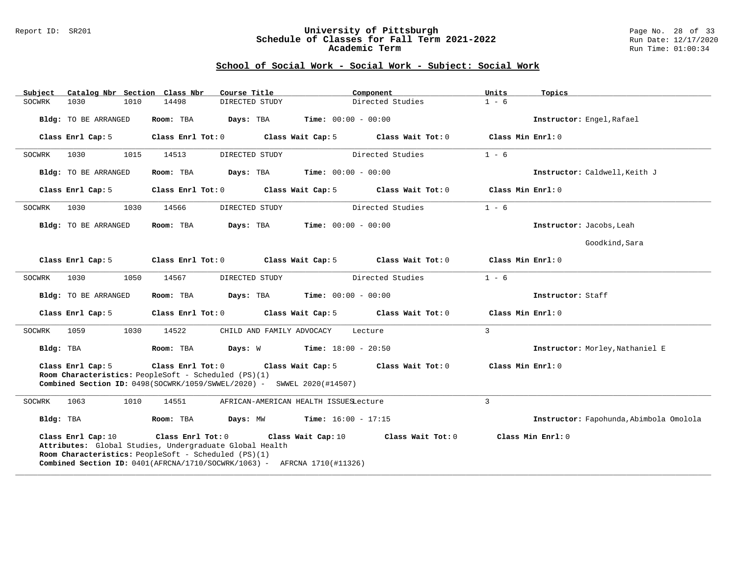#### Report ID: SR201 **University of Pittsburgh** Page No. 28 of 33 **Schedule of Classes for Fall Term 2021-2022** Run Date: 12/17/2020 **Academic Term** Run Time: 01:00:34

# **School of Social Work - Social Work - Subject: Social Work**

| Subject   |                             |      | Catalog Nbr Section Class Nbr | Course Title                                                                                                                                                                                |                              | Component                                             | Units             | Topics                                  |
|-----------|-----------------------------|------|-------------------------------|---------------------------------------------------------------------------------------------------------------------------------------------------------------------------------------------|------------------------------|-------------------------------------------------------|-------------------|-----------------------------------------|
| SOCWRK    | 1030                        | 1010 | 14498                         | DIRECTED STUDY                                                                                                                                                                              |                              | Directed Studies                                      | $1 - 6$           |                                         |
|           | Bldg: TO BE ARRANGED        |      | Room: TBA                     | Days: TBA                                                                                                                                                                                   | <b>Time:</b> $00:00 - 00:00$ |                                                       |                   | Instructor: Engel, Rafael               |
|           | Class Enrl Cap: 5           |      | Class Enrl Tot: 0             |                                                                                                                                                                                             | Class Wait Cap: 5            | Class Wait Tot: 0                                     | Class Min Enrl: 0 |                                         |
| SOCWRK    | 1030                        | 1015 | 14513                         | DIRECTED STUDY                                                                                                                                                                              |                              | Directed Studies                                      | $1 - 6$           |                                         |
|           | Bldg: TO BE ARRANGED        |      | Room: TBA                     | Days: TBA                                                                                                                                                                                   | <b>Time:</b> $00:00 - 00:00$ |                                                       |                   | Instructor: Caldwell, Keith J           |
|           | Class Enrl Cap: 5           |      | Class Enrl Tot: 0             |                                                                                                                                                                                             | Class Wait Cap: 5            | Class Wait Tot: 0                                     | Class Min Enrl: 0 |                                         |
| SOCWRK    | 1030                        | 1030 | 14566                         | DIRECTED STUDY                                                                                                                                                                              |                              | Directed Studies                                      | $1 - 6$           |                                         |
|           | Bldg: TO BE ARRANGED        |      | Room: TBA                     | Days: TBA                                                                                                                                                                                   | <b>Time:</b> $00:00 - 00:00$ |                                                       |                   | Instructor: Jacobs, Leah                |
|           |                             |      |                               |                                                                                                                                                                                             |                              |                                                       |                   | Goodkind, Sara                          |
|           | Class Enrl Cap: 5           |      |                               |                                                                                                                                                                                             |                              | Class Enrl Tot: 0 Class Wait Cap: 5 Class Wait Tot: 0 | Class Min Enrl: 0 |                                         |
| SOCWRK    | 1030                        | 1050 | 14567                         | DIRECTED STUDY                                                                                                                                                                              |                              | Directed Studies                                      | $1 - 6$           |                                         |
|           | <b>Bldg:</b> TO BE ARRANGED |      | Room: TBA                     | Days: TBA                                                                                                                                                                                   | <b>Time:</b> $00:00 - 00:00$ |                                                       |                   | Instructor: Staff                       |
|           | Class Enrl Cap: 5           |      |                               | Class Enrl Tot: 0 Class Wait Cap: 5                                                                                                                                                         |                              | Class Wait Tot: 0                                     | Class Min Enrl: 0 |                                         |
| SOCWRK    | 1059                        | 1030 | 14522                         | CHILD AND FAMILY ADVOCACY                                                                                                                                                                   |                              | Lecture                                               | 3                 |                                         |
| Bldg: TBA |                             |      | Room: TBA                     | <b>Days:</b> W <b>Time:</b> $18:00 - 20:50$                                                                                                                                                 |                              |                                                       |                   | Instructor: Morley, Nathaniel E         |
|           | Class Enrl Cap: 5           |      | Class Enrl Tot: 0             | Room Characteristics: PeopleSoft - Scheduled (PS)(1)<br><b>Combined Section ID:</b> $0498(SOCWRK/1059/SWWEL/2020)$ - SWWEL 2020(#14507)                                                     | Class Wait Cap: 5            | Class Wait Tot: 0                                     | Class Min Enrl: 0 |                                         |
| SOCWRK    | 1063                        | 1010 | 14551                         | AFRICAN-AMERICAN HEALTH ISSUESLecture                                                                                                                                                       |                              |                                                       | $\mathbf{3}$      |                                         |
| Bldg: TBA |                             |      |                               | Room: TBA $Days: MW$ Time: $16:00 - 17:15$                                                                                                                                                  |                              |                                                       |                   | Instructor: Fapohunda, Abimbola Omolola |
|           | Class Enrl Cap: 10          |      | $Class$ $Enr1$ $Tot: 0$       | Attributes: Global Studies, Undergraduate Global Health<br>Room Characteristics: PeopleSoft - Scheduled (PS)(1)<br>Combined Section ID: 0401(AFRCNA/1710/SOCWRK/1063) - AFRCNA 1710(#11326) |                              | Class Wait Cap: $10$ Class Wait Tot: $0$              |                   | Class Min Enrl: 0                       |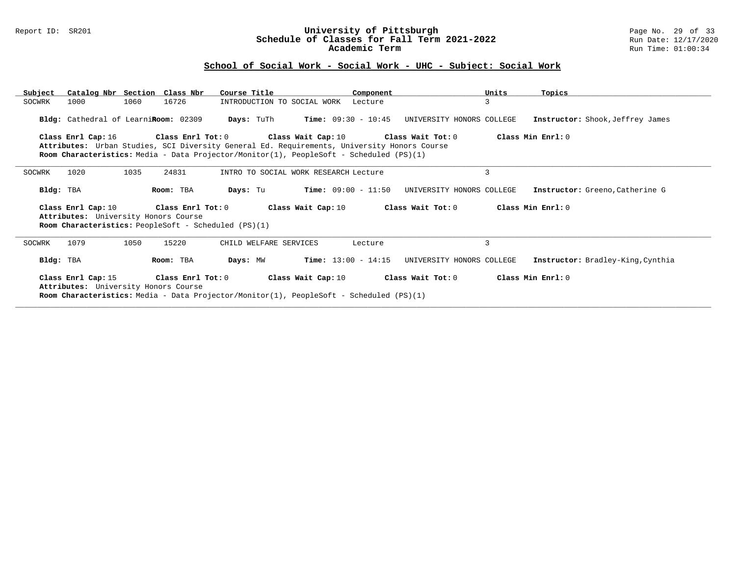#### Report ID: SR201 **University of Pittsburgh** Page No. 29 of 33 **Schedule of Classes for Fall Term 2021-2022** Run Date: 12/17/2020 **Academic Term** Run Time: 01:00:34

# **School of Social Work - Social Work - UHC - Subject: Social Work**

| Catalog Nbr Section Class Nbr<br>Subject                                                                                                                                                                       | Course Title            | Component                                                                                                                                                                              | Units                                          | Topics                                                |  |  |
|----------------------------------------------------------------------------------------------------------------------------------------------------------------------------------------------------------------|-------------------------|----------------------------------------------------------------------------------------------------------------------------------------------------------------------------------------|------------------------------------------------|-------------------------------------------------------|--|--|
| 1060<br>SOCWRK<br>1000                                                                                                                                                                                         | 16726                   | INTRODUCTION TO SOCIAL WORK<br>Lecture                                                                                                                                                 | 3                                              |                                                       |  |  |
| Bldg: Cathedral of Learni Room: 02309<br>Class Enrl Cap: 16                                                                                                                                                    | $Class$ $Enrl$ $Tot: 0$ | Days: TuTh<br><b>Time:</b> $09:30 - 10:45$<br>Class Wait Cap: 10                                                                                                                       | UNIVERSITY HONORS COLLEGE<br>Class Wait Tot: 0 | Instructor: Shook, Jeffrey James<br>Class Min Enrl: 0 |  |  |
|                                                                                                                                                                                                                |                         | Attributes: Urban Studies, SCI Diversity General Ed. Requirements, University Honors Course<br>Room Characteristics: Media - Data Projector/Monitor(1), PeopleSoft - Scheduled (PS)(1) |                                                |                                                       |  |  |
| 1020<br>1035<br>SOCWRK                                                                                                                                                                                         | 24831                   | INTRO TO SOCIAL WORK RESEARCH Lecture                                                                                                                                                  | 3                                              |                                                       |  |  |
| Bldg: TBA                                                                                                                                                                                                      | Room: TBA<br>Days: Tu   | $Time: 09:00 - 11:50$                                                                                                                                                                  | UNIVERSITY HONORS COLLEGE                      | Instructor: Greeno, Catherine G                       |  |  |
| Class Enrl Cap: 10<br>Class Min Enrl: 0<br>Class Enrl Tot: 0<br>Class Wait Cap: 10<br>Class Wait Tot: 0<br>Attributes: University Honors Course<br><b>Room Characteristics:</b> PeopleSoft - Scheduled (PS)(1) |                         |                                                                                                                                                                                        |                                                |                                                       |  |  |
| 1079<br>1050<br>SOCWRK                                                                                                                                                                                         | 15220                   | CHILD WELFARE SERVICES<br>Lecture                                                                                                                                                      | $\overline{3}$                                 |                                                       |  |  |
| Bldg: TBA                                                                                                                                                                                                      | Room: TBA<br>Days: MW   | <b>Time:</b> $13:00 - 14:15$                                                                                                                                                           | UNIVERSITY HONORS COLLEGE                      | Instructor: Bradley-King, Cynthia                     |  |  |
| Class Enrl Cap: 15<br>Attributes: University Honors Course                                                                                                                                                     | Class Enrl Tot: 0       | Class Wait Cap: 10<br><b>Room Characteristics:</b> Media - Data Projector/Monitor(1), PeopleSoft - Scheduled (PS)(1)                                                                   | Class Wait Tot: 0                              | Class Min $Err1:0$                                    |  |  |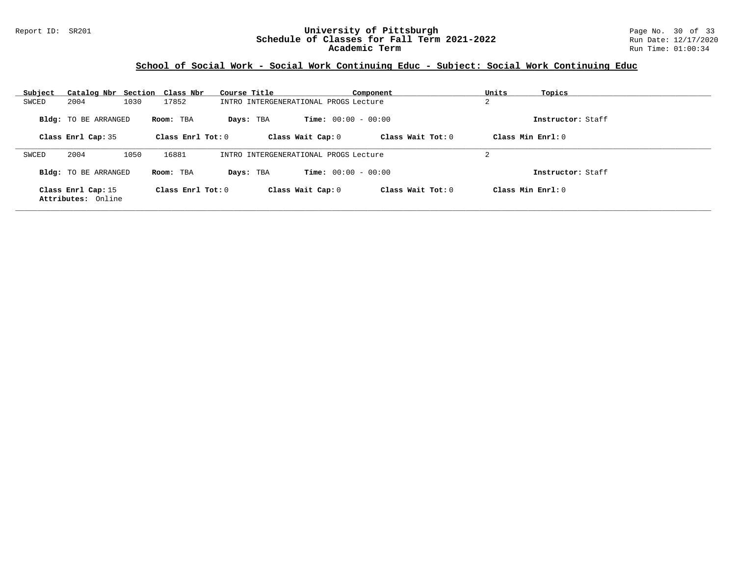### Report ID: SR201 **University of Pittsburgh** Page No. 30 of 33 **Schedule of Classes for Fall Term 2021-2022** Run Date: 12/17/2020 **Academic Term** Run Time: 01:00:34

# **School of Social Work - Social Work Continuing Educ - Subject: Social Work Continuing Educ**

| Subject | Catalog Nbr Section Class Nbr            |      |                     | Course Title |                                       | Component           | Units          | Topics              |
|---------|------------------------------------------|------|---------------------|--------------|---------------------------------------|---------------------|----------------|---------------------|
| SWCED   | 2004                                     | 1030 | 17852               |              | INTRO INTERGENERATIONAL PROGS Lecture |                     | $\overline{2}$ |                     |
|         | <b>Bldg:</b> TO BE ARRANGED              |      | Room: TBA           | Days: TBA    | <b>Time:</b> $00:00 - 00:00$          |                     |                | Instructor: Staff   |
|         | Class Enrl Cap: 35                       |      | Class Enrl Tot: $0$ |              | Class Wait Cap: 0                     | Class Wait Tot: 0   |                | Class Min Enrl: $0$ |
| SWCED   | 2004                                     | 1050 | 16881               |              | INTRO INTERGENERATIONAL PROGS Lecture |                     | 2              |                     |
|         | <b>Bldg:</b> TO BE ARRANGED              |      | Room: TBA           | Days: TBA    | <b>Time:</b> $00:00 - 00:00$          |                     |                | Instructor: Staff   |
|         | Class Enrl Cap: 15<br>Attributes: Online |      | Class Enrl Tot: $0$ |              | Class Wait Cap: 0                     | Class Wait $Tot: 0$ |                | Class Min $Enrl: 0$ |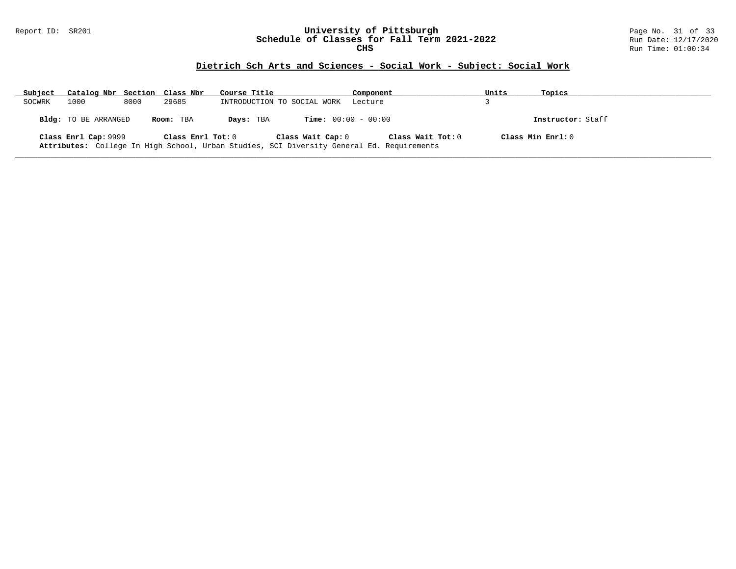#### Report ID: SR201 **University of Pittsburgh** Page No. 31 of 33 **Schedule of Classes for Fall Term 2021-2022** Run Date: 12/17/2020 **CHS** Run Time: 01:00:34

# **Dietrich Sch Arts and Sciences - Social Work - Subject: Social Work**

| Subject | Catalog Nbr Section Class Nbr |      |                   | Course Title                                                                                                   | Component         | Units | Topics            |
|---------|-------------------------------|------|-------------------|----------------------------------------------------------------------------------------------------------------|-------------------|-------|-------------------|
| SOCWRK  | 1000                          | 8000 | 29685             | INTRODUCTION TO SOCIAL WORK                                                                                    | Lecture           |       |                   |
|         | <b>Bldg:</b> TO BE ARRANGED   |      | Room: TBA         | <b>Time:</b> $00:00 - 00:00$<br>Days: TBA                                                                      |                   |       | Instructor: Staff |
|         | Class Enrl Cap: 9999          |      | Class Enrl Tot: 0 | Class Wait Cap: 0<br>Attributes: College In High School, Urban Studies, SCI Diversity General Ed. Requirements | Class Wait Tot: 0 |       | Class Min Enrl: 0 |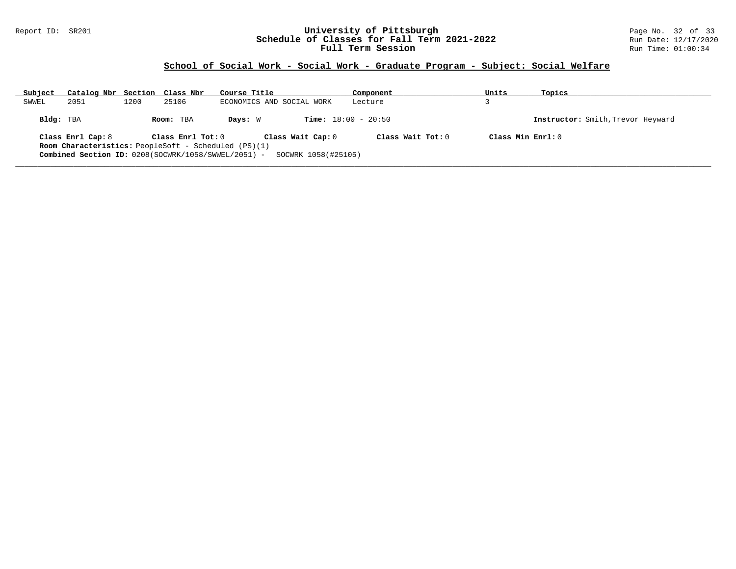### Report ID: SR201 **University of Pittsburgh** Page No. 32 of 33 **Schedule of Classes for Fall Term 2021-2022** Run Date: 12/17/2020 **Full Term Session Run Time: 01:00:34**

| Subject   | Catalog Nbr Section Class Nbr                       |      |                   | Course Title                                                | Component                    | Units               | Topics                            |
|-----------|-----------------------------------------------------|------|-------------------|-------------------------------------------------------------|------------------------------|---------------------|-----------------------------------|
| SWWEL     | 2051                                                | 1200 | 25106             | ECONOMICS AND SOCIAL WORK                                   | Lecture                      |                     |                                   |
| Bldg: TBA |                                                     |      | Room: TBA         | Days: W                                                     | <b>Time:</b> $18:00 - 20:50$ |                     | Instructor: Smith, Trevor Heyward |
|           | Class Enrl Cap: 8                                   |      | Class Enrl Tot: 0 | Class Wait Cap: 0                                           | Class Wait $Tot: 0$          | Class Min $Enrl: 0$ |                                   |
|           |                                                     |      |                   | <b>Room Characteristics:</b> PeopleSoft - Scheduled (PS)(1) |                              |                     |                                   |
|           | Combined Section ID: 0208(SOCWRK/1058/SWWEL/2051) - |      |                   | SOCWRK 1058(#25105)                                         |                              |                     |                                   |
|           |                                                     |      |                   |                                                             |                              |                     |                                   |